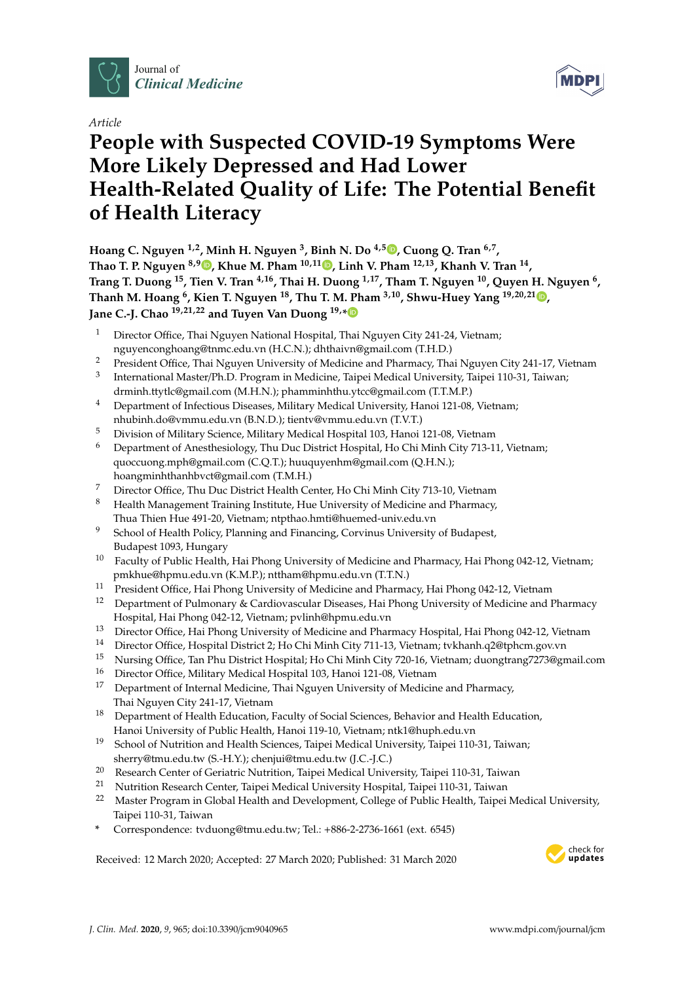

*Article*

# **People with Suspected COVID-19 Symptoms Were More Likely Depressed and Had Lower Health-Related Quality of Life: The Potential Benefit of Health Literacy**

**Hoang C. Nguyen 1,2, Minh H. Nguyen <sup>3</sup> , Binh N. Do 4,[5](https://orcid.org/0000-0002-1377-3921) , Cuong Q. Tran 6,7 , Thao T. P. Nguyen 8,[9](https://orcid.org/0000-0003-1320-964X) , Khue M. Pham 10,11 [,](https://orcid.org/0000-0003-2974-3484) Linh V. Pham 12,13, Khanh V. Tran <sup>14</sup> , Trang T. Duong <sup>15</sup>, Tien V. Tran 4,16, Thai H. Duong 1,17, Tham T. Nguyen <sup>10</sup>, Quyen H. Nguyen <sup>6</sup> , Thanh M. Hoang <sup>6</sup> , Kien T. Nguyen <sup>18</sup>, Thu T. M. Pham 3,10, Shwu-Huey Yang 19,20,21 [,](https://orcid.org/0000-0002-3707-1166) Jane C.-J. Chao 19,21,22 and Tuyen Van Duong 19,[\\*](https://orcid.org/0000-0002-2287-0723)**

- Director Office, Thai Nguyen National Hospital, Thai Nguyen City 241-24, Vietnam; nguyenconghoang@tnmc.edu.vn (H.C.N.); dhthaivn@gmail.com (T.H.D.)
- <sup>2</sup> President Office, Thai Nguyen University of Medicine and Pharmacy, Thai Nguyen City 241-17, Vietnam
- 3 International Master/Ph.D. Program in Medicine, Taipei Medical University, Taipei 110-31, Taiwan; drminh.ttytlc@gmail.com (M.H.N.); phamminhthu.ytcc@gmail.com (T.T.M.P.)
- <sup>4</sup> Department of Infectious Diseases, Military Medical University, Hanoi 121-08, Vietnam; nhubinh.do@vmmu.edu.vn (B.N.D.); tientv@vmmu.edu.vn (T.V.T.)
- <sup>5</sup> Division of Military Science, Military Medical Hospital 103, Hanoi 121-08, Vietnam
- <sup>6</sup> Department of Anesthesiology, Thu Duc District Hospital, Ho Chi Minh City 713-11, Vietnam; quoccuong.mph@gmail.com (C.Q.T.); huuquyenhm@gmail.com (Q.H.N.); hoangminhthanhbvct@gmail.com (T.M.H.)
- <sup>7</sup> Director Office, Thu Duc District Health Center, Ho Chi Minh City 713-10, Vietnam
- <sup>8</sup> Health Management Training Institute, Hue University of Medicine and Pharmacy, Thua Thien Hue 491-20, Vietnam; ntpthao.hmti@huemed-univ.edu.vn
- <sup>9</sup> School of Health Policy, Planning and Financing, Corvinus University of Budapest, Budapest 1093, Hungary
- <sup>10</sup> Faculty of Public Health, Hai Phong University of Medicine and Pharmacy, Hai Phong 042-12, Vietnam; pmkhue@hpmu.edu.vn (K.M.P.); nttham@hpmu.edu.vn (T.T.N.)
- <sup>11</sup> President Office, Hai Phong University of Medicine and Pharmacy, Hai Phong 042-12, Vietnam
- <sup>12</sup> Department of Pulmonary & Cardiovascular Diseases, Hai Phong University of Medicine and Pharmacy Hospital, Hai Phong 042-12, Vietnam; pvlinh@hpmu.edu.vn
- <sup>13</sup> Director Office, Hai Phong University of Medicine and Pharmacy Hospital, Hai Phong 042-12, Vietnam<br><sup>14</sup> Director Office, Hospital District 2: He Chi Minh City 711.12, Vietnam: tykhanh a<sup>2</sup>@tnham sexum
- <sup>14</sup> Director Office, Hospital District 2; Ho Chi Minh City 711-13, Vietnam; tvkhanh.q2@tphcm.gov.vn<br><sup>15</sup> Nursing Office, Tap Phu District Hospital: Ho Chi Minh City 720, 16, Vietnam; duongtrang 7273@cn
- <sup>15</sup> Nursing Office, Tan Phu District Hospital; Ho Chi Minh City 720-16, Vietnam; duongtrang7273@gmail.com<br><sup>16</sup> Director Office, Military Medical Hospital 102, Hangi 121,08, Vietnam
- <sup>16</sup> Director Office, Military Medical Hospital 103, Hanoi 121-08, Vietnam<br><sup>17</sup> Department of Internal Medicine, Thai Nguyen University of Medicin
- Department of Internal Medicine, Thai Nguyen University of Medicine and Pharmacy, Thai Nguyen City 241-17, Vietnam
- <sup>18</sup> Department of Health Education, Faculty of Social Sciences, Behavior and Health Education, Hanoi University of Public Health, Hanoi 119-10, Vietnam; ntk1@huph.edu.vn
- <sup>19</sup> School of Nutrition and Health Sciences, Taipei Medical University, Taipei 110-31, Taiwan; sherry@tmu.edu.tw (S.-H.Y.); chenjui@tmu.edu.tw (J.C.-J.C.)
- <sup>20</sup> Research Center of Geriatric Nutrition, Taipei Medical University, Taipei 110-31, Taiwan<br><sup>21</sup> Nutrition Research Center Taipei Medical University Hospital Taipei 110-31, Taiwan
- <sup>21</sup> Nutrition Research Center, Taipei Medical University Hospital, Taipei 110-31, Taiwan<br><sup>22</sup> Mester Program in Clobal Hoalth and Development, College of Public Hoalth, Taipei
- <sup>22</sup> Master Program in Global Health and Development, College of Public Health, Taipei Medical University, Taipei 110-31, Taiwan
- **\*** Correspondence: tvduong@tmu.edu.tw; Tel.: +886-2-2736-1661 (ext. 6545)

Received: 12 March 2020; Accepted: 27 March 2020; Published: 31 March 2020



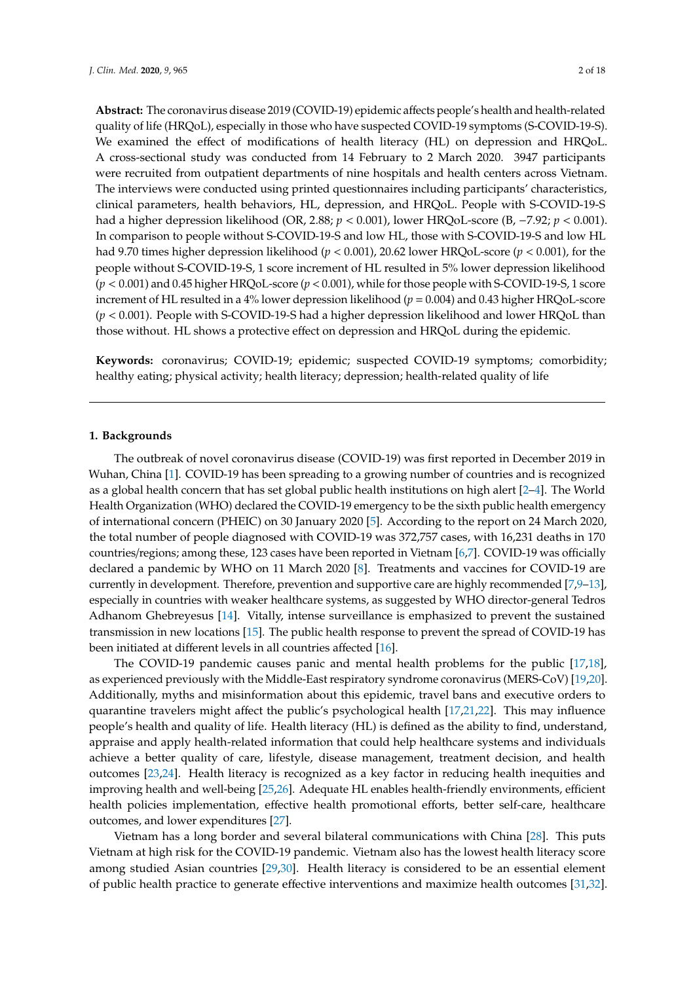**Abstract:** The coronavirus disease 2019 (COVID-19) epidemic affects people's health and health-related quality of life (HRQoL), especially in those who have suspected COVID-19 symptoms (S-COVID-19-S). We examined the effect of modifications of health literacy (HL) on depression and HRQoL. A cross-sectional study was conducted from 14 February to 2 March 2020. 3947 participants were recruited from outpatient departments of nine hospitals and health centers across Vietnam. The interviews were conducted using printed questionnaires including participants' characteristics, clinical parameters, health behaviors, HL, depression, and HRQoL. People with S-COVID-19-S had a higher depression likelihood (OR, 2.88; *p* < 0.001), lower HRQoL-score (B, −7.92; *p* < 0.001). In comparison to people without S-COVID-19-S and low HL, those with S-COVID-19-S and low HL had 9.70 times higher depression likelihood (*p* < 0.001), 20.62 lower HRQoL-score (*p* < 0.001), for the people without S-COVID-19-S, 1 score increment of HL resulted in 5% lower depression likelihood (*p* < 0.001) and 0.45 higher HRQoL-score (*p* < 0.001), while for those people with S-COVID-19-S, 1 score increment of HL resulted in a 4% lower depression likelihood (*p* = 0.004) and 0.43 higher HRQoL-score (*p* < 0.001). People with S-COVID-19-S had a higher depression likelihood and lower HRQoL than those without. HL shows a protective effect on depression and HRQoL during the epidemic.

**Keywords:** coronavirus; COVID-19; epidemic; suspected COVID-19 symptoms; comorbidity; healthy eating; physical activity; health literacy; depression; health-related quality of life

#### **1. Backgrounds**

The outbreak of novel coronavirus disease (COVID-19) was first reported in December 2019 in Wuhan, China [\[1\]](#page-13-0). COVID-19 has been spreading to a growing number of countries and is recognized as a global health concern that has set global public health institutions on high alert [\[2](#page-13-1)[–4\]](#page-13-2). The World Health Organization (WHO) declared the COVID-19 emergency to be the sixth public health emergency of international concern (PHEIC) on 30 January 2020 [\[5\]](#page-14-0). According to the report on 24 March 2020, the total number of people diagnosed with COVID-19 was 372,757 cases, with 16,231 deaths in 170 countries/regions; among these, 123 cases have been reported in Vietnam [\[6,](#page-14-1)[7\]](#page-14-2). COVID-19 was officially declared a pandemic by WHO on 11 March 2020 [\[8\]](#page-14-3). Treatments and vaccines for COVID-19 are currently in development. Therefore, prevention and supportive care are highly recommended [\[7](#page-14-2)[,9](#page-14-4)[–13\]](#page-14-5), especially in countries with weaker healthcare systems, as suggested by WHO director-general Tedros Adhanom Ghebreyesus [\[14\]](#page-14-6). Vitally, intense surveillance is emphasized to prevent the sustained transmission in new locations [\[15\]](#page-14-7). The public health response to prevent the spread of COVID-19 has been initiated at different levels in all countries affected [\[16\]](#page-14-8).

The COVID-19 pandemic causes panic and mental health problems for the public [\[17,](#page-14-9)[18\]](#page-14-10), as experienced previously with the Middle-East respiratory syndrome coronavirus (MERS-CoV) [\[19](#page-14-11)[,20\]](#page-14-12). Additionally, myths and misinformation about this epidemic, travel bans and executive orders to quarantine travelers might affect the public's psychological health [\[17,](#page-14-9)[21,](#page-14-13)[22\]](#page-14-14). This may influence people's health and quality of life. Health literacy (HL) is defined as the ability to find, understand, appraise and apply health-related information that could help healthcare systems and individuals achieve a better quality of care, lifestyle, disease management, treatment decision, and health outcomes [\[23,](#page-14-15)[24\]](#page-15-0). Health literacy is recognized as a key factor in reducing health inequities and improving health and well-being [\[25,](#page-15-1)[26\]](#page-15-2). Adequate HL enables health-friendly environments, efficient health policies implementation, effective health promotional efforts, better self-care, healthcare outcomes, and lower expenditures [\[27\]](#page-15-3).

Vietnam has a long border and several bilateral communications with China [\[28\]](#page-15-4). This puts Vietnam at high risk for the COVID-19 pandemic. Vietnam also has the lowest health literacy score among studied Asian countries [\[29](#page-15-5)[,30\]](#page-15-6). Health literacy is considered to be an essential element of public health practice to generate effective interventions and maximize health outcomes [\[31,](#page-15-7)[32\]](#page-15-8).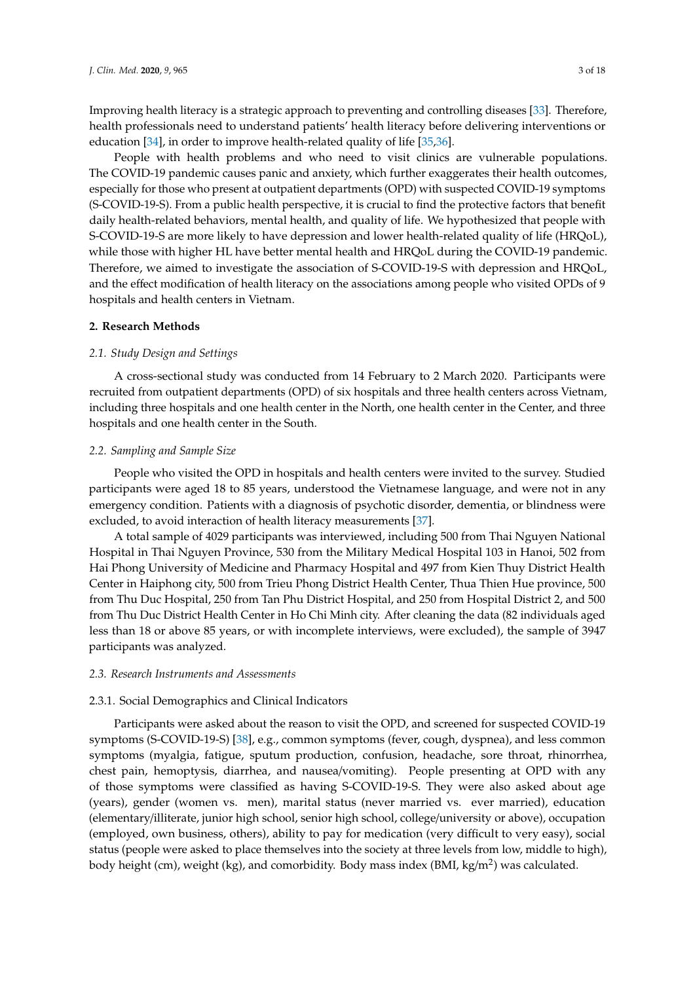Improving health literacy is a strategic approach to preventing and controlling diseases [\[33\]](#page-15-9). Therefore, health professionals need to understand patients' health literacy before delivering interventions or education [\[34\]](#page-15-10), in order to improve health-related quality of life [\[35,](#page-15-11)[36\]](#page-15-12).

People with health problems and who need to visit clinics are vulnerable populations. The COVID-19 pandemic causes panic and anxiety, which further exaggerates their health outcomes, especially for those who present at outpatient departments (OPD) with suspected COVID-19 symptoms (S-COVID-19-S). From a public health perspective, it is crucial to find the protective factors that benefit daily health-related behaviors, mental health, and quality of life. We hypothesized that people with S-COVID-19-S are more likely to have depression and lower health-related quality of life (HRQoL), while those with higher HL have better mental health and HRQoL during the COVID-19 pandemic. Therefore, we aimed to investigate the association of S-COVID-19-S with depression and HRQoL, and the effect modification of health literacy on the associations among people who visited OPDs of 9 hospitals and health centers in Vietnam.

# **2. Research Methods**

# *2.1. Study Design and Settings*

A cross-sectional study was conducted from 14 February to 2 March 2020. Participants were recruited from outpatient departments (OPD) of six hospitals and three health centers across Vietnam, including three hospitals and one health center in the North, one health center in the Center, and three hospitals and one health center in the South.

## *2.2. Sampling and Sample Size*

People who visited the OPD in hospitals and health centers were invited to the survey. Studied participants were aged 18 to 85 years, understood the Vietnamese language, and were not in any emergency condition. Patients with a diagnosis of psychotic disorder, dementia, or blindness were excluded, to avoid interaction of health literacy measurements [\[37\]](#page-15-13).

A total sample of 4029 participants was interviewed, including 500 from Thai Nguyen National Hospital in Thai Nguyen Province, 530 from the Military Medical Hospital 103 in Hanoi, 502 from Hai Phong University of Medicine and Pharmacy Hospital and 497 from Kien Thuy District Health Center in Haiphong city, 500 from Trieu Phong District Health Center, Thua Thien Hue province, 500 from Thu Duc Hospital, 250 from Tan Phu District Hospital, and 250 from Hospital District 2, and 500 from Thu Duc District Health Center in Ho Chi Minh city. After cleaning the data (82 individuals aged less than 18 or above 85 years, or with incomplete interviews, were excluded), the sample of 3947 participants was analyzed.

#### *2.3. Research Instruments and Assessments*

## 2.3.1. Social Demographics and Clinical Indicators

Participants were asked about the reason to visit the OPD, and screened for suspected COVID-19 symptoms (S-COVID-19-S) [\[38\]](#page-15-14), e.g., common symptoms (fever, cough, dyspnea), and less common symptoms (myalgia, fatigue, sputum production, confusion, headache, sore throat, rhinorrhea, chest pain, hemoptysis, diarrhea, and nausea/vomiting). People presenting at OPD with any of those symptoms were classified as having S-COVID-19-S. They were also asked about age (years), gender (women vs. men), marital status (never married vs. ever married), education (elementary/illiterate, junior high school, senior high school, college/university or above), occupation (employed, own business, others), ability to pay for medication (very difficult to very easy), social status (people were asked to place themselves into the society at three levels from low, middle to high), body height (cm), weight (kg), and comorbidity. Body mass index (BMI, kg/m<sup>2</sup>) was calculated.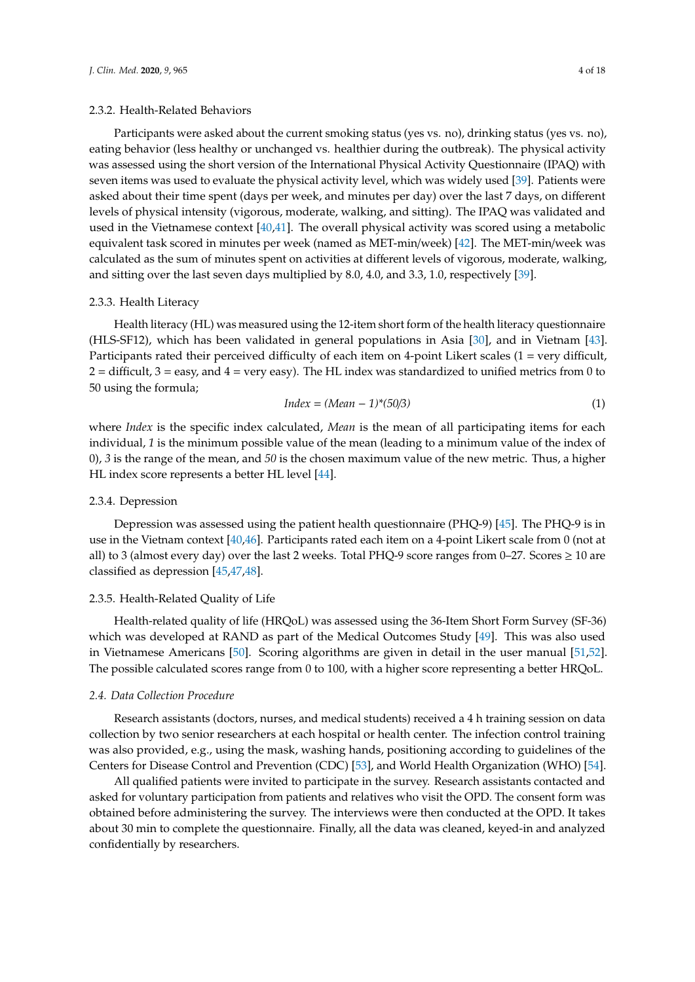## 2.3.2. Health-Related Behaviors

Participants were asked about the current smoking status (yes vs. no), drinking status (yes vs. no), eating behavior (less healthy or unchanged vs. healthier during the outbreak). The physical activity was assessed using the short version of the International Physical Activity Questionnaire (IPAQ) with seven items was used to evaluate the physical activity level, which was widely used [\[39\]](#page-15-15). Patients were asked about their time spent (days per week, and minutes per day) over the last 7 days, on different levels of physical intensity (vigorous, moderate, walking, and sitting). The IPAQ was validated and used in the Vietnamese context [\[40,](#page-15-16)[41\]](#page-15-17). The overall physical activity was scored using a metabolic equivalent task scored in minutes per week (named as MET-min/week) [\[42\]](#page-15-18). The MET-min/week was calculated as the sum of minutes spent on activities at different levels of vigorous, moderate, walking, and sitting over the last seven days multiplied by 8.0, 4.0, and 3.3, 1.0, respectively [\[39\]](#page-15-15).

## 2.3.3. Health Literacy

Health literacy (HL) was measured using the 12-item short form of the health literacy questionnaire (HLS-SF12), which has been validated in general populations in Asia [\[30\]](#page-15-6), and in Vietnam [\[43\]](#page-15-19). Participants rated their perceived difficulty of each item on 4-point Likert scales (1 = very difficult,  $2 =$  difficult,  $3 =$  easy, and  $4 =$  very easy). The HL index was standardized to unified metrics from 0 to 50 using the formula;

$$
Index = (Mean - 1)^*(50/3)
$$
 (1)

where *Index* is the specific index calculated, *Mean* is the mean of all participating items for each individual, *1* is the minimum possible value of the mean (leading to a minimum value of the index of 0), *3* is the range of the mean, and *50* is the chosen maximum value of the new metric. Thus, a higher HL index score represents a better HL level [\[44\]](#page-15-20).

#### 2.3.4. Depression

Depression was assessed using the patient health questionnaire (PHQ-9) [\[45\]](#page-15-21). The PHQ-9 is in use in the Vietnam context [\[40](#page-15-16)[,46\]](#page-16-0). Participants rated each item on a 4-point Likert scale from 0 (not at all) to 3 (almost every day) over the last 2 weeks. Total PHQ-9 score ranges from 0–27. Scores  $\geq 10$  are classified as depression [\[45](#page-15-21)[,47](#page-16-1)[,48\]](#page-16-2).

#### 2.3.5. Health-Related Quality of Life

Health-related quality of life (HRQoL) was assessed using the 36-Item Short Form Survey (SF-36) which was developed at RAND as part of the Medical Outcomes Study [\[49\]](#page-16-3). This was also used in Vietnamese Americans [\[50\]](#page-16-4). Scoring algorithms are given in detail in the user manual [\[51,](#page-16-5)[52\]](#page-16-6). The possible calculated scores range from 0 to 100, with a higher score representing a better HRQoL.

### *2.4. Data Collection Procedure*

Research assistants (doctors, nurses, and medical students) received a 4 h training session on data collection by two senior researchers at each hospital or health center. The infection control training was also provided, e.g., using the mask, washing hands, positioning according to guidelines of the Centers for Disease Control and Prevention (CDC) [\[53\]](#page-16-7), and World Health Organization (WHO) [\[54\]](#page-16-8).

All qualified patients were invited to participate in the survey. Research assistants contacted and asked for voluntary participation from patients and relatives who visit the OPD. The consent form was obtained before administering the survey. The interviews were then conducted at the OPD. It takes about 30 min to complete the questionnaire. Finally, all the data was cleaned, keyed-in and analyzed confidentially by researchers.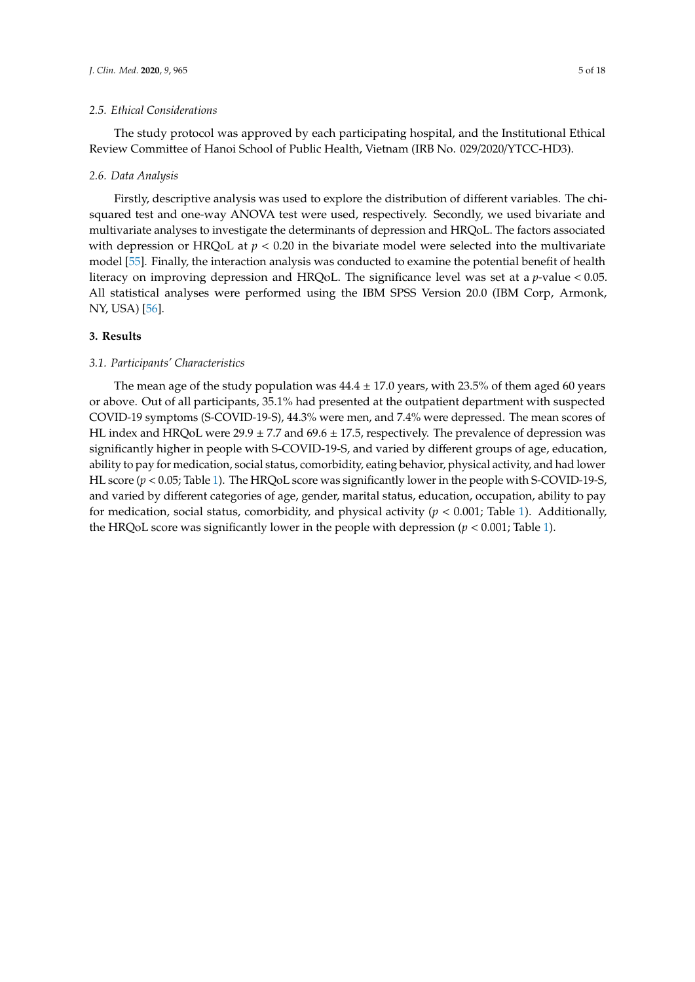## *2.5. Ethical Considerations*

The study protocol was approved by each participating hospital, and the Institutional Ethical Review Committee of Hanoi School of Public Health, Vietnam (IRB No. 029/2020/YTCC-HD3).

#### *2.6. Data Analysis*

Firstly, descriptive analysis was used to explore the distribution of different variables. The chisquared test and one-way ANOVA test were used, respectively. Secondly, we used bivariate and multivariate analyses to investigate the determinants of depression and HRQoL. The factors associated with depression or HRQoL at  $p < 0.20$  in the bivariate model were selected into the multivariate model [\[55\]](#page-16-9). Finally, the interaction analysis was conducted to examine the potential benefit of health literacy on improving depression and HRQoL. The significance level was set at a *p*-value < 0.05. All statistical analyses were performed using the IBM SPSS Version 20.0 (IBM Corp, Armonk, NY, USA) [\[56\]](#page-16-10).

# **3. Results**

### *3.1. Participants' Characteristics*

The mean age of the study population was  $44.4 \pm 17.0$  years, with 23.5% of them aged 60 years or above. Out of all participants, 35.1% had presented at the outpatient department with suspected COVID-19 symptoms (S-COVID-19-S), 44.3% were men, and 7.4% were depressed. The mean scores of HL index and HRQoL were  $29.9 \pm 7.7$  and  $69.6 \pm 17.5$ , respectively. The prevalence of depression was significantly higher in people with S-COVID-19-S, and varied by different groups of age, education, ability to pay for medication, social status, comorbidity, eating behavior, physical activity, and had lower HL score (*p* < 0.05; Table [1\)](#page-6-0). The HRQoL score was significantly lower in the people with S-COVID-19-S, and varied by different categories of age, gender, marital status, education, occupation, ability to pay for medication, social status, comorbidity, and physical activity  $(p < 0.001$ ; Table [1\)](#page-6-0). Additionally, the HRQoL score was significantly lower in the people with depression  $(p < 0.001$ ; Table [1\)](#page-6-0).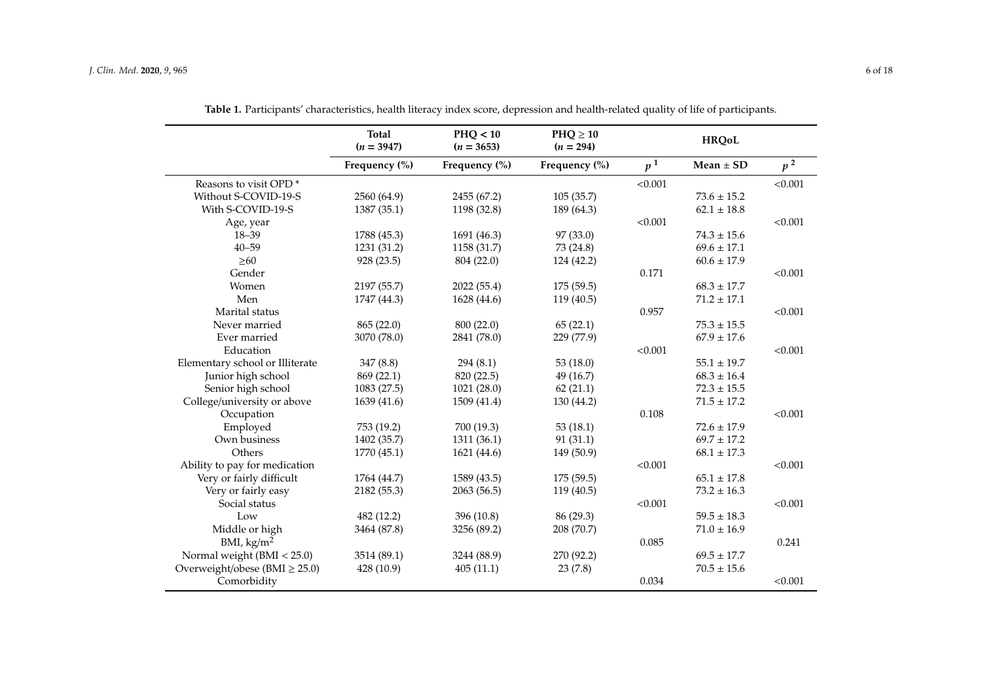|                                    | Total<br>$(n = 3947)$ | PHQ < 10<br>$(n = 3653)$ | $PHQ \geq 10$<br>$(n = 294)$ |                | <b>HRQoL</b>        |         |
|------------------------------------|-----------------------|--------------------------|------------------------------|----------------|---------------------|---------|
|                                    | Frequency (%)         | Frequency (%)            | Frequency (%)                | p <sup>1</sup> | Mean $\pm$ SD       | $p^2$   |
| Reasons to visit OPD <sup>*</sup>  |                       |                          |                              | < 0.001        |                     | < 0.001 |
| Without S-COVID-19-S               | 2560 (64.9)           | 2455 (67.2)              | 105(35.7)                    |                | $73.6 \pm 15.2$     |         |
| With S-COVID-19-S                  | 1387 (35.1)           | 1198 (32.8)              | 189 (64.3)                   |                | $62.1 \pm 18.8$     |         |
| Age, year                          |                       |                          |                              | < 0.001        |                     | < 0.001 |
| $18 - 39$                          | 1788 (45.3)           | 1691 (46.3)              | 97 (33.0)                    |                | $74.3 \pm 15.6$     |         |
| $40 - 59$                          | 1231 (31.2)           | 1158 (31.7)              | 73 (24.8)                    |                | $69.6 \pm 17.1$     |         |
| $\geq 60$                          | 928 (23.5)            | 804 (22.0)               | 124 (42.2)                   |                | $60.6 \pm 17.9$     |         |
| Gender                             |                       |                          |                              | 0.171          |                     | < 0.001 |
| Women                              | 2197 (55.7)           | 2022 (55.4)              | 175(59.5)                    |                | $68.3 \pm 17.7$     |         |
| Men                                | 1747 (44.3)           | 1628 (44.6)              | 119 (40.5)                   |                | $71.2 \pm 17.1$     |         |
| Marital status                     |                       |                          |                              | 0.957          |                     | < 0.001 |
| Never married                      | 865 (22.0)            | 800 (22.0)               | 65(22.1)                     |                | $75.3$ $\pm$ $15.5$ |         |
| Ever married                       | 3070 (78.0)           | 2841 (78.0)              | 229 (77.9)                   |                | $67.9 \pm 17.6$     |         |
| Education                          |                       |                          |                              | < 0.001        |                     | < 0.001 |
| Elementary school or Illiterate    | 347(8.8)              | 294(8.1)                 | 53 (18.0)                    |                | $55.1 \pm 19.7$     |         |
| Junior high school                 | 869 (22.1)            | 820 (22.5)               | 49 (16.7)                    |                | $68.3 \pm 16.4$     |         |
| Senior high school                 | 1083 (27.5)           | 1021 (28.0)              | 62(21.1)                     |                | $72.3 \pm 15.5$     |         |
| College/university or above        | 1639 (41.6)           | 1509 (41.4)              | 130 (44.2)                   |                | $71.5 \pm 17.2$     |         |
| Occupation                         |                       |                          |                              | 0.108          |                     | < 0.001 |
| Employed                           | 753 (19.2)            | 700 (19.3)               | 53(18.1)                     |                | $72.6 \pm 17.9$     |         |
| Own business                       | 1402 (35.7)           | 1311 (36.1)              | 91(31.1)                     |                | $69.7 \pm 17.2$     |         |
| Others                             | 1770 (45.1)           | 1621 (44.6)              | 149 (50.9)                   |                | $68.1 \pm 17.3$     |         |
| Ability to pay for medication      |                       |                          |                              | < 0.001        |                     | < 0.001 |
| Very or fairly difficult           | 1764 (44.7)           | 1589 (43.5)              | 175 (59.5)                   |                | $65.1 \pm 17.8$     |         |
| Very or fairly easy                | 2182 (55.3)           | 2063 (56.5)              | 119 (40.5)                   |                | $73.2 \pm 16.3$     |         |
| Social status                      |                       |                          |                              | < 0.001        |                     | < 0.001 |
| Low                                | 482 (12.2)            | 396 (10.8)               | 86 (29.3)                    |                | $59.5 \pm 18.3$     |         |
| Middle or high                     | 3464 (87.8)           | 3256 (89.2)              | 208 (70.7)                   |                | $71.0 \pm 16.9$     |         |
| BMI, $\text{kg/m}^2$               |                       |                          |                              | 0.085          |                     | 0.241   |
| Normal weight (BMI < 25.0)         | 3514 (89.1)           | 3244 (88.9)              | 270 (92.2)                   |                | $69.5 \pm 17.7$     |         |
| Overweight/obese (BMI $\geq$ 25.0) | 428 (10.9)            | 405(11.1)                | 23(7.8)                      |                | $70.5\pm15.6$       |         |
| Comorbidity                        |                       |                          |                              | 0.034          |                     | < 0.001 |

**Table 1.** Participants' characteristics, health literacy index score, depression and health-related quality of life of participants.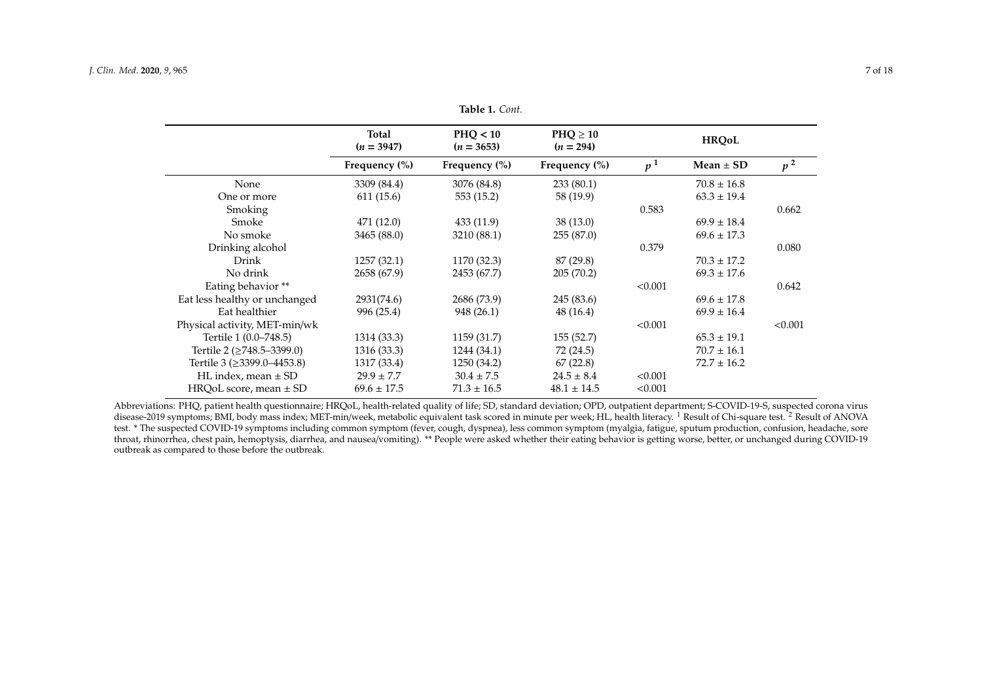|                                  | <b>Total</b><br>$(n = 3947)$ | PHO < 10<br>$(n = 3653)$ | $PHQ \geq 10$<br>$(n = 294)$ |                |                 |         |
|----------------------------------|------------------------------|--------------------------|------------------------------|----------------|-----------------|---------|
|                                  | Frequency $(\% )$            | Frequency $(\% )$        | Frequency $(\% )$            | p <sup>1</sup> | Mean $\pm$ SD   | $p^2$   |
| None                             | 3309 (84.4)                  | 3076 (84.8)              | 233(80.1)                    |                | $70.8 \pm 16.8$ |         |
| One or more                      | 611 (15.6)                   | 553 (15.2)               | 58 (19.9)                    |                | $63.3 \pm 19.4$ |         |
| Smoking                          |                              |                          |                              | 0.583          |                 | 0.662   |
| Smoke                            | 471 (12.0)                   | 433 (11.9)               | 38(13.0)                     |                | $69.9 \pm 18.4$ |         |
| No smoke                         | 3465 (88.0)                  | 3210 (88.1)              | 255(87.0)                    |                | $69.6 \pm 17.3$ |         |
| Drinking alcohol                 |                              |                          |                              | 0.379          |                 | 0.080   |
| Drink                            | 1257(32.1)                   | 1170 (32.3)              | 87 (29.8)                    |                | $70.3 \pm 17.2$ |         |
| No drink                         | 2658 (67.9)                  | 2453 (67.7)              | 205(70.2)                    |                | $69.3 \pm 17.6$ |         |
| Eating behavior **               |                              |                          |                              | < 0.001        |                 | 0.642   |
| Eat less healthy or unchanged    | 2931(74.6)                   | 2686 (73.9)              | 245 (83.6)                   |                | $69.6 \pm 17.8$ |         |
| Eat healthier                    | 996 (25.4)                   | 948 (26.1)               | 48 (16.4)                    |                | $69.9 \pm 16.4$ |         |
| Physical activity, MET-min/wk    |                              |                          |                              | < 0.001        |                 | < 0.001 |
| Tertile 1 (0.0–748.5)            | 1314 (33.3)                  | 1159 (31.7)              | 155(52.7)                    |                | $65.3 \pm 19.1$ |         |
| Tertile 2 ( $\geq$ 748.5–3399.0) | 1316 (33.3)                  | 1244 (34.1)              | 72 (24.5)                    |                | $70.7 \pm 16.1$ |         |
| Tertile 3 (≥3399.0–4453.8)       | 1317 (33.4)                  | 1250 (34.2)              | 67(22.8)                     |                | $72.7 \pm 16.2$ |         |
| HL index, mean $\pm$ SD          | $29.9 \pm 7.7$               | $30.4 \pm 7.5$           | $24.5 \pm 8.4$               | < 0.001        |                 |         |
| $HRQoL score$ , mean $\pm SD$    | $69.6 \pm 17.5$              | $71.3 \pm 16.5$          | $48.1 \pm 14.5$              | < 0.001        |                 |         |

**Table 1.** *Cont.*

<span id="page-6-0"></span>Abbreviations: PHQ, patient health questionnaire; HRQoL, health-related quality of life; SD, standard deviation; OPD, outpatient department; S-COVID-19-S, suspected corona virus disease-2019 symptoms; BMI, body mass index; MET-min/week, metabolic equivalent task scored in minute per week; HL, health literacy. <sup>1</sup> Result of Chi-square test. <sup>2</sup> Result of ANOVA test. \* The suspected COVID-19 symptoms including common symptom (fever, cough, dyspnea), less common symptom (myalgia, fatigue, sputum production, confusion, headache, sore throat, rhinorrhea, chest pain, hemoptysis, diarrhea, and nausea/vomiting). \*\* People were asked whether their eating behavior is getting worse, better, or unchanged during COVID-19 outbreak as compared to those before the outbreak.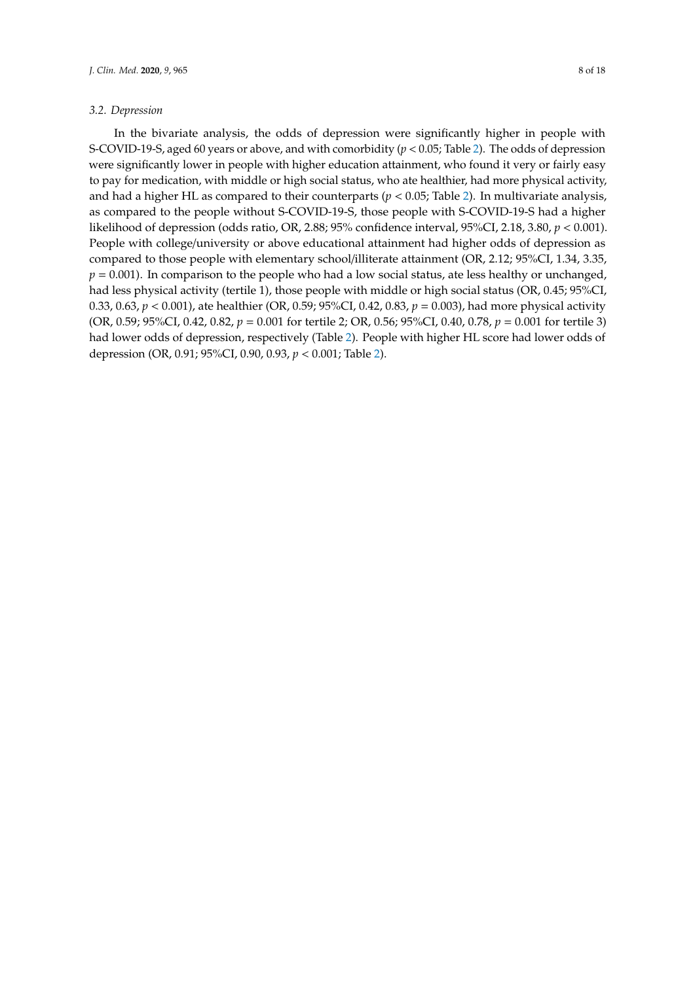#### *3.2. Depression*

In the bivariate analysis, the odds of depression were significantly higher in people with S-COVID-19-S, aged 60 years or above, and with comorbidity  $(p < 0.05$ ; Table [2\)](#page-9-0). The odds of depression were significantly lower in people with higher education attainment, who found it very or fairly easy to pay for medication, with middle or high social status, who ate healthier, had more physical activity, and had a higher HL as compared to their counterparts (*p* < 0.05; Table [2\)](#page-9-0). In multivariate analysis, as compared to the people without S-COVID-19-S, those people with S-COVID-19-S had a higher likelihood of depression (odds ratio, OR, 2.88; 95% confidence interval, 95%CI, 2.18, 3.80, *p* < 0.001). People with college/university or above educational attainment had higher odds of depression as compared to those people with elementary school/illiterate attainment (OR, 2.12; 95%CI, 1.34, 3.35,  $p = 0.001$ ). In comparison to the people who had a low social status, ate less healthy or unchanged, had less physical activity (tertile 1), those people with middle or high social status (OR, 0.45; 95%CI, 0.33, 0.63, *p* < 0.001), ate healthier (OR, 0.59; 95%CI, 0.42, 0.83, *p* = 0.003), had more physical activity (OR, 0.59; 95%CI, 0.42, 0.82, *p* = 0.001 for tertile 2; OR, 0.56; 95%CI, 0.40, 0.78, *p* = 0.001 for tertile 3) had lower odds of depression, respectively (Table [2\)](#page-9-0). People with higher HL score had lower odds of depression (OR, 0.91; 95%CI, 0.90, 0.93, *p* < 0.001; Table [2\)](#page-9-0).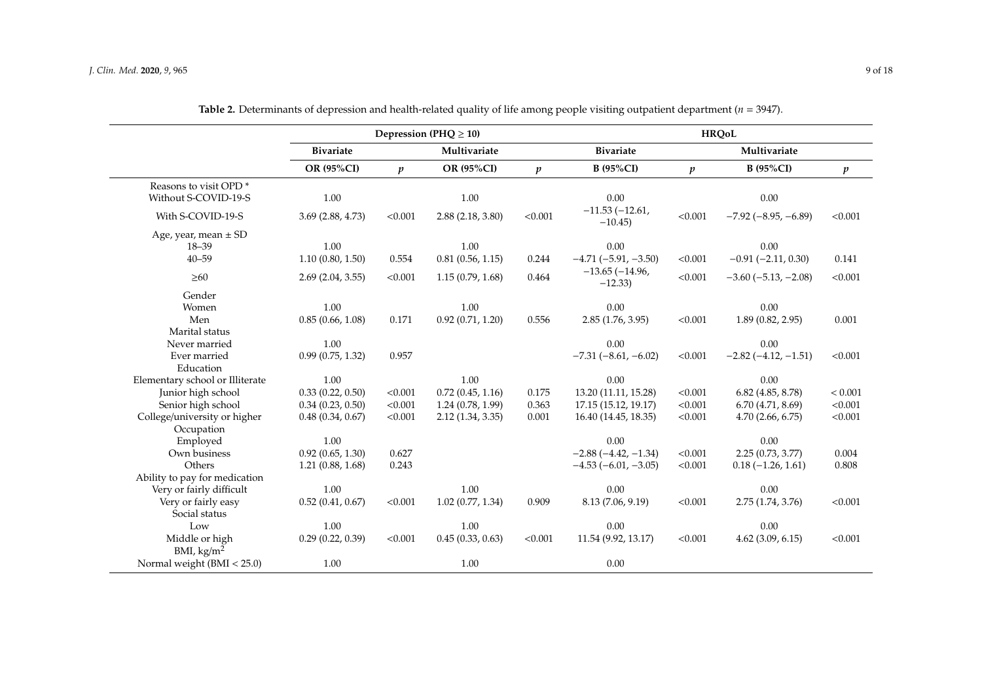|                                   | Depression (PHQ $\geq$ 10) |                  |                  |                  | <b>HRQoL</b>                 |                  |                               |                  |
|-----------------------------------|----------------------------|------------------|------------------|------------------|------------------------------|------------------|-------------------------------|------------------|
|                                   | <b>Bivariate</b>           | Multivariate     |                  |                  | <b>Bivariate</b>             |                  | Multivariate                  |                  |
|                                   | OR (95%CI)                 | $\boldsymbol{p}$ | OR (95%CI)       | $\boldsymbol{p}$ | <b>B</b> (95%CI)             | $\boldsymbol{p}$ | <b>B</b> (95%CI)              | $\boldsymbol{p}$ |
| Reasons to visit OPD <sup>*</sup> |                            |                  |                  |                  |                              |                  |                               |                  |
| Without S-COVID-19-S              | 1.00                       |                  | 1.00             |                  | $0.00\,$                     |                  | 0.00                          |                  |
| With S-COVID-19-S                 | 3.69(2.88, 4.73)           | < 0.001          | 2.88(2.18, 3.80) | < 0.001          | $-11.53(-12.61,$<br>$-10.45$ | < 0.001          | $-7.92(-8.95, -6.89)$         | < 0.001          |
| Age, year, mean $\pm$ SD          |                            |                  |                  |                  |                              |                  |                               |                  |
| $18 - 39$                         | 1.00                       |                  | 1.00             |                  | 0.00                         |                  | 0.00                          |                  |
| $40 - 59$                         | 1.10(0.80, 1.50)           | 0.554            | 0.81(0.56, 1.15) | 0.244            | $-4.71(-5.91, -3.50)$        | < 0.001          | $-0.91 (-2.11, 0.30)$         | 0.141            |
| $\geq 60$                         | 2.69(2.04, 3.55)           | < 0.001          | 1.15(0.79, 1.68) | 0.464            | $-13.65(-14.96,$<br>$-12.33$ | < 0.001          | $-3.60$ ( $-5.13$ , $-2.08$ ) | < 0.001          |
| Gender                            |                            |                  |                  |                  |                              |                  |                               |                  |
| Women                             | 1.00                       |                  | 1.00             |                  | 0.00                         |                  | 0.00                          |                  |
| Men                               | 0.85(0.66, 1.08)           | 0.171            | 0.92(0.71, 1.20) | 0.556            | 2.85(1.76, 3.95)             | < 0.001          | 1.89(0.82, 2.95)              | 0.001            |
| Marital status                    |                            |                  |                  |                  |                              |                  |                               |                  |
| Never married                     | 1.00                       |                  |                  |                  | $0.00\,$                     |                  | 0.00                          |                  |
| Ever married                      | 0.99(0.75, 1.32)           | 0.957            |                  |                  | $-7.31(-8.61,-6.02)$         | < 0.001          | $-2.82(-4.12, -1.51)$         | < 0.001          |
| Education                         |                            |                  |                  |                  |                              |                  |                               |                  |
| Elementary school or Illiterate   | 1.00                       |                  | 1.00             |                  | 0.00                         |                  | 0.00                          |                  |
| Junior high school                | 0.33(0.22, 0.50)           | < 0.001          | 0.72(0.45, 1.16) | 0.175            | 13.20 (11.11, 15.28)         | < 0.001          | $6.82$ (4.85, 8.78)           | < 0.001          |
| Senior high school                | 0.34(0.23, 0.50)           | < 0.001          | 1.24(0.78, 1.99) | 0.363            | 17.15 (15.12, 19.17)         | < 0.001          | 6.70(4.71, 8.69)              | < 0.001          |
| College/university or higher      | 0.48(0.34, 0.67)           | < 0.001          | 2.12(1.34, 3.35) | 0.001            | 16.40 (14.45, 18.35)         | < 0.001          | 4.70(2.66, 6.75)              | < 0.001          |
| Occupation                        |                            |                  |                  |                  |                              |                  |                               |                  |
| Employed                          | 1.00                       |                  |                  |                  | 0.00                         |                  | 0.00                          |                  |
| Own business                      | 0.92(0.65, 1.30)           | 0.627            |                  |                  | $-2.88(-4.42,-1.34)$         | < 0.001          | 2.25(0.73, 3.77)              | 0.004            |
| Others                            | 1.21(0.88, 1.68)           | 0.243            |                  |                  | $-4.53(-6.01, -3.05)$        | < 0.001          | $0.18 (-1.26, 1.61)$          | 0.808            |
| Ability to pay for medication     |                            |                  |                  |                  |                              |                  |                               |                  |
| Very or fairly difficult          | 1.00                       |                  | 1.00             |                  | 0.00                         |                  | 0.00                          |                  |
| Very or fairly easy               | 0.52(0.41, 0.67)           | < 0.001          | 1.02(0.77, 1.34) | 0.909            | 8.13 (7.06, 9.19)            | < 0.001          | 2.75 (1.74, 3.76)             | < 0.001          |
| Social status                     |                            |                  |                  |                  |                              |                  |                               |                  |
| Low                               | 1.00                       |                  | 1.00             |                  | 0.00                         |                  | 0.00                          |                  |
| Middle or high                    | 0.29(0.22, 0.39)           | < 0.001          | 0.45(0.33, 0.63) | < 0.001          | 11.54 (9.92, 13.17)          | < 0.001          | $4.62$ (3.09, 6.15)           | < 0.001          |
| BMI, $\text{kg/m}^2$              |                            |                  |                  |                  |                              |                  |                               |                  |
| Normal weight (BMI < 25.0)        | 1.00                       |                  | 1.00             |                  | $0.00\,$                     |                  |                               |                  |

**Table 2.** Determinants of depression and health-related quality of life among people visiting outpatient department (*n* = 3947).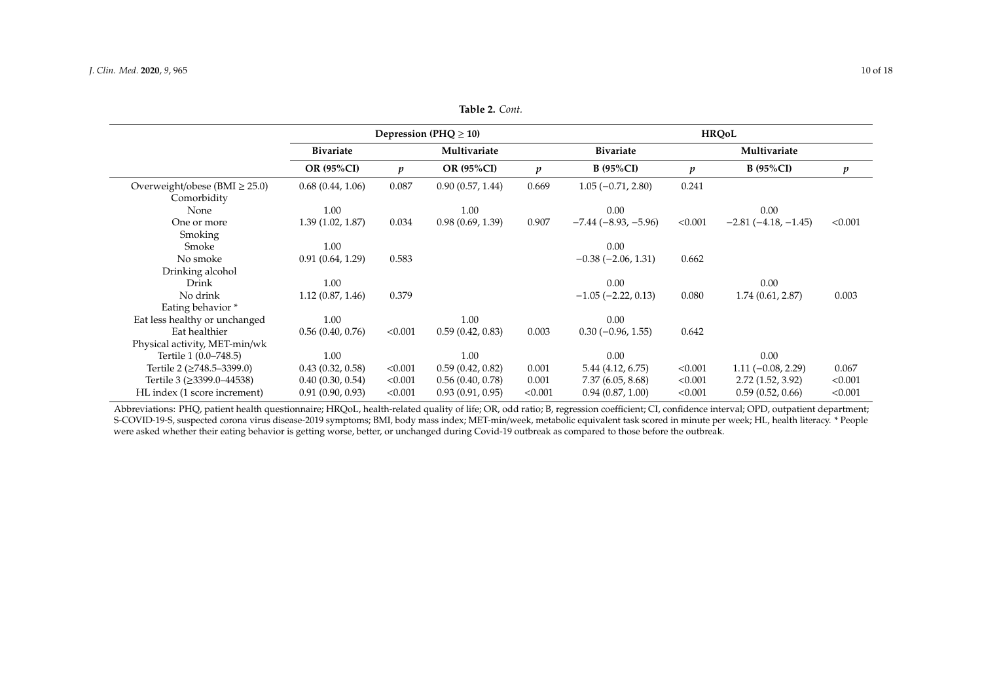|                                      | Depression (PHQ $\geq$ 10) |                  |                   |                  | <b>HROoL</b>              |                  |                      |                  |  |
|--------------------------------------|----------------------------|------------------|-------------------|------------------|---------------------------|------------------|----------------------|------------------|--|
|                                      | <b>Bivariate</b>           |                  | Multivariate      |                  | <b>Bivariate</b>          |                  | Multivariate         |                  |  |
|                                      | <b>OR (95%CI)</b>          | $\boldsymbol{p}$ | <b>OR (95%CI)</b> | $\boldsymbol{p}$ | <b>B</b> (95%CI)          | $\boldsymbol{p}$ | <b>B</b> (95%CI)     | $\boldsymbol{p}$ |  |
| Overweight/obese ( $BMI \geq 25.0$ ) | 0.68(0.44, 1.06)           | 0.087            | 0.90(0.57, 1.44)  | 0.669            | $1.05(-0.71, 2.80)$       | 0.241            |                      |                  |  |
| Comorbidity                          |                            |                  |                   |                  |                           |                  |                      |                  |  |
| None                                 | 1.00                       |                  | 1.00              |                  | 0.00                      |                  | 0.00                 |                  |  |
| One or more                          | 1.39(1.02, 1.87)           | 0.034            | 0.98(0.69, 1.39)  | 0.907            | $-7.44(-8.93,-5.96)$      | < 0.001          | $-2.81(-4.18,-1.45)$ | < 0.001          |  |
| Smoking                              |                            |                  |                   |                  |                           |                  |                      |                  |  |
| Smoke                                | 1.00                       |                  |                   |                  | 0.00                      |                  |                      |                  |  |
| No smoke                             | 0.91(0.64, 1.29)           | 0.583            |                   |                  | $-0.38(-2.06, 1.31)$      | 0.662            |                      |                  |  |
| Drinking alcohol                     |                            |                  |                   |                  |                           |                  |                      |                  |  |
| Drink                                | 1.00                       |                  |                   |                  | 0.00                      |                  | 0.00                 |                  |  |
| No drink                             | 1.12(0.87, 1.46)           | 0.379            |                   |                  | $-1.05$ ( $-2.22$ , 0.13) | 0.080            | 1.74(0.61, 2.87)     | 0.003            |  |
| Eating behavior *                    |                            |                  |                   |                  |                           |                  |                      |                  |  |
| Eat less healthy or unchanged        | 1.00                       |                  | 1.00              |                  | 0.00                      |                  |                      |                  |  |
| Eat healthier                        | 0.56(0.40, 0.76)           | < 0.001          | 0.59(0.42, 0.83)  | 0.003            | $0.30(-0.96, 1.55)$       | 0.642            |                      |                  |  |
| Physical activity, MET-min/wk        |                            |                  |                   |                  |                           |                  |                      |                  |  |
| Tertile 1 (0.0–748.5)                | 1.00                       |                  | 1.00              |                  | 0.00                      |                  | 0.00                 |                  |  |
| Tertile 2 (≥748.5–3399.0)            | 0.43(0.32, 0.58)           | < 0.001          | 0.59(0.42, 0.82)  | 0.001            | 5.44 (4.12, 6.75)         | < 0.001          | $1.11 (-0.08, 2.29)$ | 0.067            |  |
| Tertile 3 (≥3399.0–44538)            | 0.40(0.30, 0.54)           | < 0.001          | 0.56(0.40, 0.78)  | 0.001            | 7.37(6.05, 8.68)          | < 0.001          | 2.72(1.52, 3.92)     | < 0.001          |  |
| HL index (1 score increment)         | 0.91(0.90, 0.93)           | < 0.001          | 0.93(0.91, 0.95)  | < 0.001          | 0.94(0.87, 1.00)          | < 0.001          | 0.59(0.52, 0.66)     | < 0.001          |  |

**Table 2.** *Cont.*

<span id="page-9-0"></span>Abbreviations: PHQ, patient health questionnaire; HRQoL, health-related quality of life; OR, odd ratio; B, regression coefficient; CI, confidence interval; OPD, outpatient department; S-COVID-19-S, suspected corona virus disease-2019 symptoms; BMI, body mass index; MET-min/week, metabolic equivalent task scored in minute per week; HL, health literacy. \* People were asked whether their eating behavior is getting worse, better, or unchanged during Covid-19 outbreak as compared to those before the outbreak.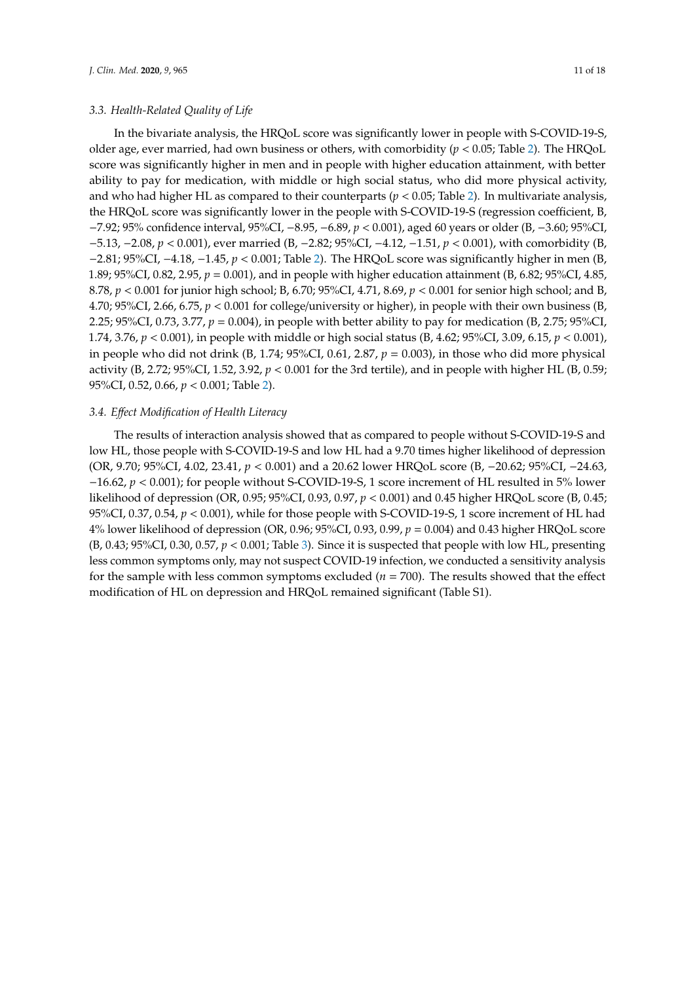## *3.3. Health-Related Quality of Life*

In the bivariate analysis, the HRQoL score was significantly lower in people with S-COVID-19-S, older age, ever married, had own business or others, with comorbidity (*p* < 0.05; Table [2\)](#page-9-0). The HRQoL score was significantly higher in men and in people with higher education attainment, with better ability to pay for medication, with middle or high social status, who did more physical activity, and who had higher HL as compared to their counterparts (*p* < 0.05; Table [2\)](#page-9-0). In multivariate analysis, the HRQoL score was significantly lower in the people with S-COVID-19-S (regression coefficient, B, −7.92; 95% confidence interval, 95%CI, −8.95, −6.89, *p* < 0.001), aged 60 years or older (B, −3.60; 95%CI, −5.13, −2.08, *p* < 0.001), ever married (B, −2.82; 95%CI, −4.12, −1.51, *p* < 0.001), with comorbidity (B, −2.81; 95%CI, −4.18, −1.45, *p* < 0.001; Table [2\)](#page-9-0). The HRQoL score was significantly higher in men (B, 1.89; 95%CI, 0.82, 2.95, *p* = 0.001), and in people with higher education attainment (B, 6.82; 95%CI, 4.85, 8.78, *p* < 0.001 for junior high school; B, 6.70; 95%CI, 4.71, 8.69, *p* < 0.001 for senior high school; and B, 4.70; 95%CI, 2.66, 6.75, *p* < 0.001 for college/university or higher), in people with their own business (B, 2.25; 95%CI, 0.73, 3.77, *p* = 0.004), in people with better ability to pay for medication (B, 2.75; 95%CI, 1.74, 3.76, *p* < 0.001), in people with middle or high social status (B, 4.62; 95%CI, 3.09, 6.15, *p* < 0.001), in people who did not drink (B, 1.74;  $95\%$ CI, 0.61, 2.87,  $p = 0.003$ ), in those who did more physical activity (B, 2.72; 95%CI, 1.52, 3.92,  $p < 0.001$  for the 3rd tertile), and in people with higher HL (B, 0.59; 95%CI, 0.52, 0.66, *p* < 0.001; Table [2\)](#page-9-0).

# *3.4. E*ff*ect Modification of Health Literacy*

The results of interaction analysis showed that as compared to people without S-COVID-19-S and low HL, those people with S-COVID-19-S and low HL had a 9.70 times higher likelihood of depression (OR, 9.70; 95%CI, 4.02, 23.41, *p* < 0.001) and a 20.62 lower HRQoL score (B, −20.62; 95%CI, −24.63, −16.62, *p* < 0.001); for people without S-COVID-19-S, 1 score increment of HL resulted in 5% lower likelihood of depression (OR, 0.95; 95%CI, 0.93, 0.97, *p* < 0.001) and 0.45 higher HRQoL score (B, 0.45; 95%CI, 0.37, 0.54, *p* < 0.001), while for those people with S-COVID-19-S, 1 score increment of HL had 4% lower likelihood of depression (OR, 0.96; 95%CI, 0.93, 0.99, *p* = 0.004) and 0.43 higher HRQoL score (B, 0.43; 95%CI, 0.30, 0.57, *p* < 0.001; Table [3\)](#page-11-0). Since it is suspected that people with low HL, presenting less common symptoms only, may not suspect COVID-19 infection, we conducted a sensitivity analysis for the sample with less common symptoms excluded ( $n = 700$ ). The results showed that the effect modification of HL on depression and HRQoL remained significant (Table S1).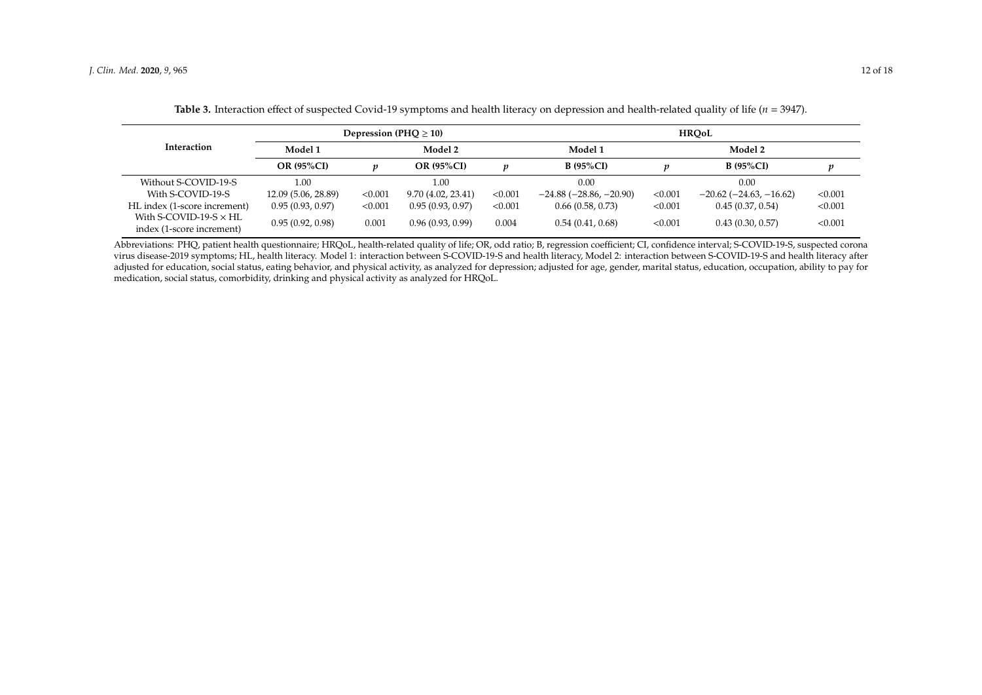|                                                            |                     |         | Depression (PHQ $\geq$ 10) |         | <b>HROoL</b>             |         |                                  |         |  |
|------------------------------------------------------------|---------------------|---------|----------------------------|---------|--------------------------|---------|----------------------------------|---------|--|
| Interaction                                                | Model 1             |         | Model 2                    |         | Model 1                  |         | Model 2                          |         |  |
|                                                            | <b>OR (95%CI)</b>   |         | <b>OR (95%CI)</b>          | v       | <b>B</b> (95%CI)         |         | <b>B</b> (95%CI)                 |         |  |
| Without S-COVID-19-S                                       | 0.00                |         | 1.00                       |         | 0.00                     |         | 0.00                             |         |  |
| With S-COVID-19-S                                          | 12.09 (5.06, 28.89) | < 0.001 | 9.70 (4.02, 23.41)         | < 0.001 | $-24.88(-28.86, -20.90)$ | < 0.001 | $-20.62$ ( $-24.63$ , $-16.62$ ) | < 0.001 |  |
| HL index (1-score increment)                               | 0.95(0.93, 0.97)    | < 0.001 | 0.95(0.93, 0.97)           | < 0.001 | 0.66(0.58, 0.73)         | < 0.001 | 0.45(0.37, 0.54)                 | < 0.001 |  |
| With S-COVID-19-S $\times$ HL<br>index (1-score increment) | 0.95(0.92, 0.98)    | 0.001   | 0.96(0.93, 0.99)           | 0.004   | 0.54(0.41, 0.68)         | < 0.001 | 0.43(0.30, 0.57)                 | < 0.001 |  |

**Table 3.** Interaction effect of suspected Covid-19 symptoms and health literacy on depression and health-related quality of life (*n* = 3947).

<span id="page-11-0"></span>Abbreviations: PHQ, patient health questionnaire; HRQoL, health-related quality of life; OR, odd ratio; B, regression coefficient; CI, confidence interval; S-COVID-19-S, suspected corona virus disease-2019 symptoms; HL, health literacy. Model 1: interaction between S-COVID-19-S and health literacy, Model 2: interaction between S-COVID-19-S and health literacy after adjusted for education, social status, eating behavior, and physical activity, as analyzed for depression; adjusted for age, gender, marital status, education, occupation, ability to pay for medication, social status, comorbidity, drinking and physical activity as analyzed for HRQoL.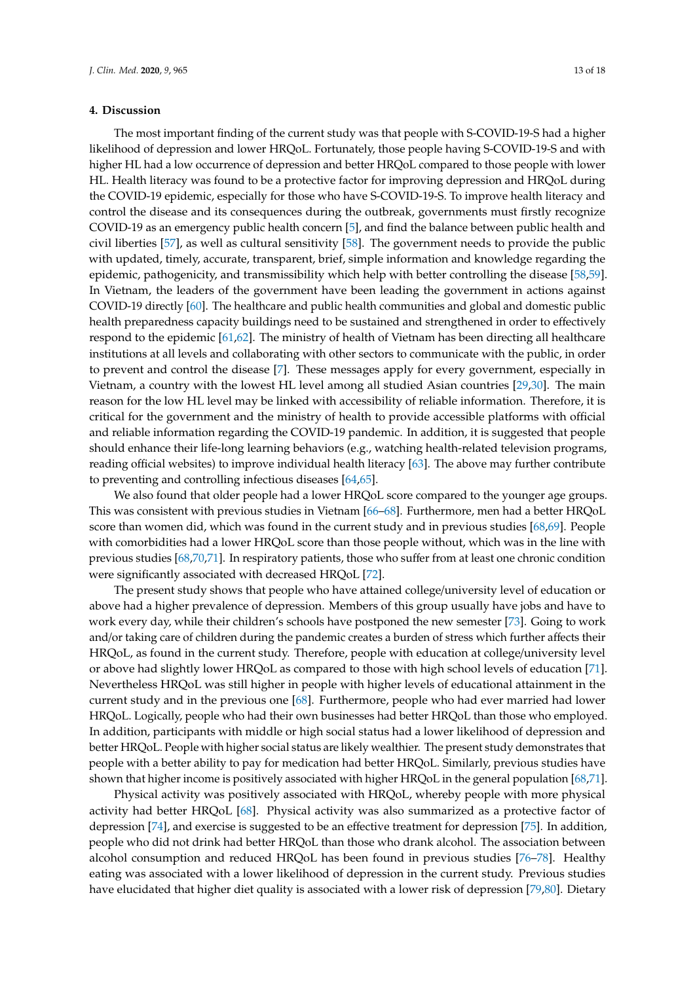## **4. Discussion**

The most important finding of the current study was that people with S-COVID-19-S had a higher likelihood of depression and lower HRQoL. Fortunately, those people having S-COVID-19-S and with higher HL had a low occurrence of depression and better HRQoL compared to those people with lower HL. Health literacy was found to be a protective factor for improving depression and HRQoL during the COVID-19 epidemic, especially for those who have S-COVID-19-S. To improve health literacy and control the disease and its consequences during the outbreak, governments must firstly recognize COVID-19 as an emergency public health concern [\[5\]](#page-14-0), and find the balance between public health and civil liberties [\[57\]](#page-16-11), as well as cultural sensitivity [\[58\]](#page-16-12). The government needs to provide the public with updated, timely, accurate, transparent, brief, simple information and knowledge regarding the epidemic, pathogenicity, and transmissibility which help with better controlling the disease [\[58,](#page-16-12)[59\]](#page-16-13). In Vietnam, the leaders of the government have been leading the government in actions against COVID-19 directly [\[60\]](#page-16-14). The healthcare and public health communities and global and domestic public health preparedness capacity buildings need to be sustained and strengthened in order to effectively respond to the epidemic [\[61](#page-16-15)[,62\]](#page-16-16). The ministry of health of Vietnam has been directing all healthcare institutions at all levels and collaborating with other sectors to communicate with the public, in order to prevent and control the disease [\[7\]](#page-14-2). These messages apply for every government, especially in Vietnam, a country with the lowest HL level among all studied Asian countries [\[29,](#page-15-5)[30\]](#page-15-6). The main reason for the low HL level may be linked with accessibility of reliable information. Therefore, it is critical for the government and the ministry of health to provide accessible platforms with official and reliable information regarding the COVID-19 pandemic. In addition, it is suggested that people should enhance their life-long learning behaviors (e.g., watching health-related television programs, reading official websites) to improve individual health literacy [\[63\]](#page-16-17). The above may further contribute to preventing and controlling infectious diseases [\[64](#page-16-18)[,65\]](#page-16-19).

We also found that older people had a lower HRQoL score compared to the younger age groups. This was consistent with previous studies in Vietnam [\[66](#page-16-20)[–68\]](#page-17-0). Furthermore, men had a better HRQoL score than women did, which was found in the current study and in previous studies [\[68,](#page-17-0)[69\]](#page-17-1). People with comorbidities had a lower HRQoL score than those people without, which was in the line with previous studies [\[68,](#page-17-0)[70,](#page-17-2)[71\]](#page-17-3). In respiratory patients, those who suffer from at least one chronic condition were significantly associated with decreased HRQoL [\[72\]](#page-17-4).

The present study shows that people who have attained college/university level of education or above had a higher prevalence of depression. Members of this group usually have jobs and have to work every day, while their children's schools have postponed the new semester [\[73\]](#page-17-5). Going to work and/or taking care of children during the pandemic creates a burden of stress which further affects their HRQoL, as found in the current study. Therefore, people with education at college/university level or above had slightly lower HRQoL as compared to those with high school levels of education [\[71\]](#page-17-3). Nevertheless HRQoL was still higher in people with higher levels of educational attainment in the current study and in the previous one [\[68\]](#page-17-0). Furthermore, people who had ever married had lower HRQoL. Logically, people who had their own businesses had better HRQoL than those who employed. In addition, participants with middle or high social status had a lower likelihood of depression and better HRQoL. People with higher social status are likely wealthier. The present study demonstrates that people with a better ability to pay for medication had better HRQoL. Similarly, previous studies have shown that higher income is positively associated with higher HRQoL in the general population [\[68](#page-17-0)[,71\]](#page-17-3).

Physical activity was positively associated with HRQoL, whereby people with more physical activity had better HRQoL [\[68\]](#page-17-0). Physical activity was also summarized as a protective factor of depression [\[74\]](#page-17-6), and exercise is suggested to be an effective treatment for depression [\[75\]](#page-17-7). In addition, people who did not drink had better HRQoL than those who drank alcohol. The association between alcohol consumption and reduced HRQoL has been found in previous studies [\[76–](#page-17-8)[78\]](#page-17-9). Healthy eating was associated with a lower likelihood of depression in the current study. Previous studies have elucidated that higher diet quality is associated with a lower risk of depression [\[79,](#page-17-10)[80\]](#page-17-11). Dietary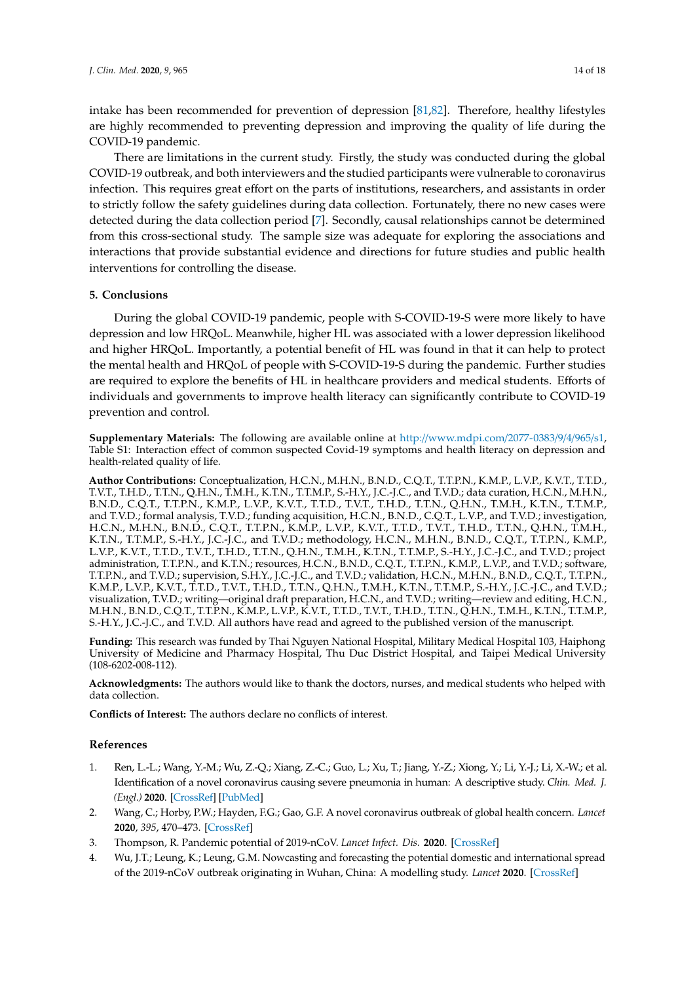intake has been recommended for prevention of depression [\[81,](#page-17-12)[82\]](#page-17-13). Therefore, healthy lifestyles are highly recommended to preventing depression and improving the quality of life during the COVID-19 pandemic.

There are limitations in the current study. Firstly, the study was conducted during the global COVID-19 outbreak, and both interviewers and the studied participants were vulnerable to coronavirus infection. This requires great effort on the parts of institutions, researchers, and assistants in order to strictly follow the safety guidelines during data collection. Fortunately, there no new cases were detected during the data collection period [\[7\]](#page-14-2). Secondly, causal relationships cannot be determined from this cross-sectional study. The sample size was adequate for exploring the associations and interactions that provide substantial evidence and directions for future studies and public health interventions for controlling the disease.

# **5. Conclusions**

During the global COVID-19 pandemic, people with S-COVID-19-S were more likely to have depression and low HRQoL. Meanwhile, higher HL was associated with a lower depression likelihood and higher HRQoL. Importantly, a potential benefit of HL was found in that it can help to protect the mental health and HRQoL of people with S-COVID-19-S during the pandemic. Further studies are required to explore the benefits of HL in healthcare providers and medical students. Efforts of individuals and governments to improve health literacy can significantly contribute to COVID-19 prevention and control.

**Supplementary Materials:** The following are available online at http://[www.mdpi.com](http://www.mdpi.com/2077-0383/9/4/965/s1)/2077-0383/9/4/965/s1, Table S1: Interaction effect of common suspected Covid-19 symptoms and health literacy on depression and health-related quality of life.

**Author Contributions:** Conceptualization, H.C.N., M.H.N., B.N.D., C.Q.T., T.T.P.N., K.M.P., L.V.P., K.V.T., T.T.D., T.V.T., T.H.D., T.T.N., Q.H.N., T.M.H., K.T.N., T.T.M.P., S.-H.Y., J.C.-J.C., and T.V.D.; data curation, H.C.N., M.H.N., B.N.D., C.Q.T., T.T.P.N., K.M.P., L.V.P., K.V.T., T.T.D., T.V.T., T.H.D., T.T.N., Q.H.N., T.M.H., K.T.N., T.T.M.P., and T.V.D.; formal analysis, T.V.D.; funding acquisition, H.C.N., B.N.D., C.Q.T., L.V.P., and T.V.D.; investigation, H.C.N., M.H.N., B.N.D., C.Q.T., T.T.P.N., K.M.P., L.V.P., K.V.T., T.T.D., T.V.T., T.H.D., T.T.N., Q.H.N., T.M.H., K.T.N., T.T.M.P., S.-H.Y., J.C.-J.C., and T.V.D.; methodology, H.C.N., M.H.N., B.N.D., C.Q.T., T.T.P.N., K.M.P., L.V.P., K.V.T., T.T.D., T.V.T., T.H.D., T.T.N., Q.H.N., T.M.H., K.T.N., T.T.M.P., S.-H.Y., J.C.-J.C., and T.V.D.; project administration, T.T.P.N., and K.T.N.; resources, H.C.N., B.N.D., C.Q.T., T.T.P.N., K.M.P., L.V.P., and T.V.D.; software, T.T.P.N., and T.V.D.; supervision, S.H.Y., J.C.-J.C., and T.V.D.; validation, H.C.N., M.H.N., B.N.D., C.Q.T., T.T.P.N., K.M.P., L.V.P., K.V.T., T.T.D., T.V.T., T.H.D., T.T.N., Q.H.N., T.M.H., K.T.N., T.T.M.P., S.-H.Y., J.C.-J.C., and T.V.D.; visualization, T.V.D.; writing—original draft preparation, H.C.N., and T.V.D.; writing—review and editing, H.C.N., M.H.N., B.N.D., C.Q.T., T.T.P.N., K.M.P., L.V.P., K.V.T., T.T.D., T.V.T., T.H.D., T.T.N., Q.H.N., T.M.H., K.T.N., T.T.M.P., S.-H.Y., J.C.-J.C., and T.V.D. All authors have read and agreed to the published version of the manuscript.

**Funding:** This research was funded by Thai Nguyen National Hospital, Military Medical Hospital 103, Haiphong University of Medicine and Pharmacy Hospital, Thu Duc District Hospital, and Taipei Medical University (108-6202-008-112).

**Acknowledgments:** The authors would like to thank the doctors, nurses, and medical students who helped with data collection.

**Conflicts of Interest:** The authors declare no conflicts of interest.

# **References**

- <span id="page-13-0"></span>1. Ren, L.-L.; Wang, Y.-M.; Wu, Z.-Q.; Xiang, Z.-C.; Guo, L.; Xu, T.; Jiang, Y.-Z.; Xiong, Y.; Li, Y.-J.; Li, X.-W.; et al. Identification of a novel coronavirus causing severe pneumonia in human: A descriptive study. *Chin. Med. J. (Engl.)* **2020**. [\[CrossRef\]](http://dx.doi.org/10.1097/CM9.0000000000000722) [\[PubMed\]](http://www.ncbi.nlm.nih.gov/pubmed/32004165)
- <span id="page-13-1"></span>2. Wang, C.; Horby, P.W.; Hayden, F.G.; Gao, G.F. A novel coronavirus outbreak of global health concern. *Lancet* **2020**, *395*, 470–473. [\[CrossRef\]](http://dx.doi.org/10.1016/S0140-6736(20)30185-9)
- 3. Thompson, R. Pandemic potential of 2019-nCoV. *Lancet Infect. Dis.* **2020**. [\[CrossRef\]](http://dx.doi.org/10.1016/S1473-3099(20)30068-2)
- <span id="page-13-2"></span>Wu, J.T.; Leung, K.; Leung, G.M. Nowcasting and forecasting the potential domestic and international spread of the 2019-nCoV outbreak originating in Wuhan, China: A modelling study. *Lancet* **2020**. [\[CrossRef\]](http://dx.doi.org/10.1016/S0140-6736(20)30260-9)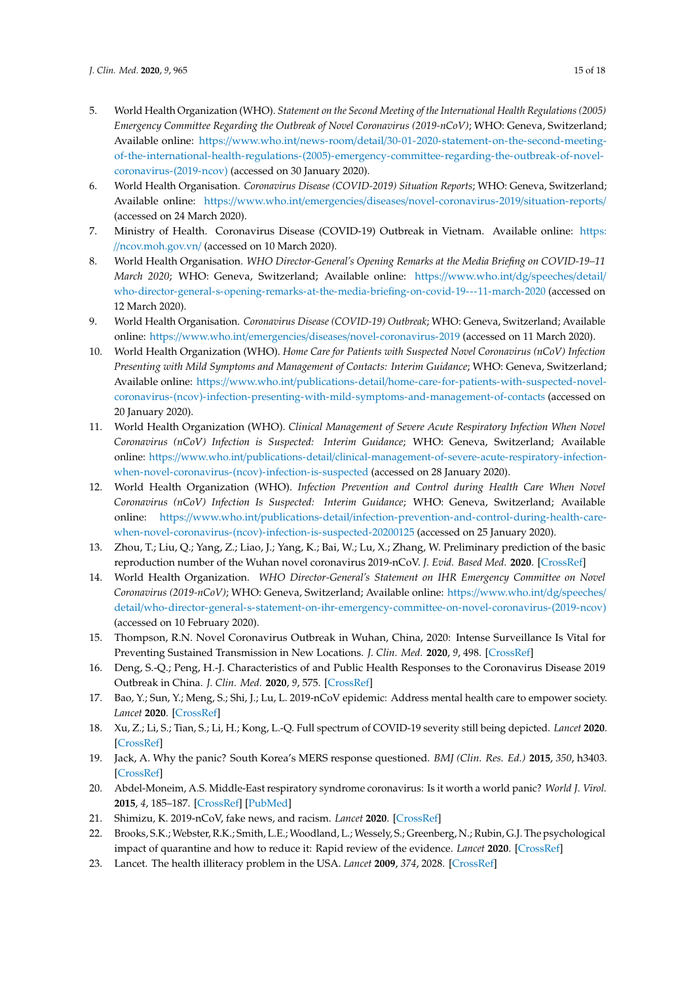- <span id="page-14-0"></span>5. World Health Organization (WHO). *Statement on the Second Meeting of the International Health Regulations (2005) Emergency Committee Regarding the Outbreak of Novel Coronavirus (2019-nCoV)*; WHO: Geneva, Switzerland; Available online: https://www.who.int/news-room/detail/[30-01-2020-statement-on-the-second-meeting](https://www.who.int/news-room/detail/30-01-2020-statement-on-the-second-meeting-of-the-international-health-regulations-(2005)-emergency-committee-regarding-the-outbreak-of-novel-coronavirus-(2019-ncov))[of-the-international-health-regulations-\(2005\)-emergency-committee-regarding-the-outbreak-of-novel](https://www.who.int/news-room/detail/30-01-2020-statement-on-the-second-meeting-of-the-international-health-regulations-(2005)-emergency-committee-regarding-the-outbreak-of-novel-coronavirus-(2019-ncov))[coronavirus-\(2019-ncov\)](https://www.who.int/news-room/detail/30-01-2020-statement-on-the-second-meeting-of-the-international-health-regulations-(2005)-emergency-committee-regarding-the-outbreak-of-novel-coronavirus-(2019-ncov)) (accessed on 30 January 2020).
- <span id="page-14-1"></span>6. World Health Organisation. *Coronavirus Disease (COVID-2019) Situation Reports*; WHO: Geneva, Switzerland; Available online: https://www.who.int/emergencies/diseases/[novel-coronavirus-2019](https://www.who.int/emergencies/diseases/novel-coronavirus-2019/situation-reports/)/situation-reports/ (accessed on 24 March 2020).
- <span id="page-14-2"></span>7. Ministry of Health. Coronavirus Disease (COVID-19) Outbreak in Vietnam. Available online: [https:](https://ncov.moh.gov.vn/) //[ncov.moh.gov.vn](https://ncov.moh.gov.vn/)/ (accessed on 10 March 2020).
- <span id="page-14-3"></span>8. World Health Organisation. *WHO Director-General's Opening Remarks at the Media Briefing on COVID-19–11 March 2020*; WHO: Geneva, Switzerland; Available online: https://[www.who.int](https://www.who.int/dg/speeches/detail/who-director-general-s-opening-remarks-at-the-media-briefing-on-covid-19---11-march-2020)/dg/speeches/detail/ [who-director-general-s-opening-remarks-at-the-media-briefing-on-covid-19---11-march-2020](https://www.who.int/dg/speeches/detail/who-director-general-s-opening-remarks-at-the-media-briefing-on-covid-19---11-march-2020) (accessed on 12 March 2020).
- <span id="page-14-4"></span>9. World Health Organisation. *Coronavirus Disease (COVID-19) Outbreak*; WHO: Geneva, Switzerland; Available online: https://www.who.int/emergencies/diseases/[novel-coronavirus-2019](https://www.who.int/emergencies/diseases/novel-coronavirus-2019) (accessed on 11 March 2020).
- 10. World Health Organization (WHO). *Home Care for Patients with Suspected Novel Coronavirus (nCoV) Infection Presenting with Mild Symptoms and Management of Contacts: Interim Guidance*; WHO: Geneva, Switzerland; Available online: https://www.who.int/publications-detail/[home-care-for-patients-with-suspected-novel](https://www.who.int/publications-detail/home-care-for-patients-with-suspected-novel-coronavirus-(ncov)-infection-presenting-with-mild-symptoms-and-management-of-contacts)[coronavirus-\(ncov\)-infection-presenting-with-mild-symptoms-and-management-of-contacts](https://www.who.int/publications-detail/home-care-for-patients-with-suspected-novel-coronavirus-(ncov)-infection-presenting-with-mild-symptoms-and-management-of-contacts) (accessed on 20 January 2020).
- 11. World Health Organization (WHO). *Clinical Management of Severe Acute Respiratory Infection When Novel Coronavirus (nCoV) Infection is Suspected: Interim Guidance*; WHO: Geneva, Switzerland; Available online: https://www.who.int/publications-detail/[clinical-management-of-severe-acute-respiratory-infection](https://www.who.int/publications-detail/clinical-management-of-severe-acute-respiratory-infection-when-novel-coronavirus-(ncov)-infection-is-suspected)[when-novel-coronavirus-\(ncov\)-infection-is-suspected](https://www.who.int/publications-detail/clinical-management-of-severe-acute-respiratory-infection-when-novel-coronavirus-(ncov)-infection-is-suspected) (accessed on 28 January 2020).
- 12. World Health Organization (WHO). *Infection Prevention and Control during Health Care When Novel Coronavirus (nCoV) Infection Is Suspected: Interim Guidance*; WHO: Geneva, Switzerland; Available online: https://www.who.int/publications-detail/[infection-prevention-and-control-during-health-care](https://www.who.int/publications-detail/infection-prevention-and-control-during-health-care-when-novel-coronavirus-(ncov)-infection-is-suspected-20200125)[when-novel-coronavirus-\(ncov\)-infection-is-suspected-20200125](https://www.who.int/publications-detail/infection-prevention-and-control-during-health-care-when-novel-coronavirus-(ncov)-infection-is-suspected-20200125) (accessed on 25 January 2020).
- <span id="page-14-5"></span>13. Zhou, T.; Liu, Q.; Yang, Z.; Liao, J.; Yang, K.; Bai, W.; Lu, X.; Zhang, W. Preliminary prediction of the basic reproduction number of the Wuhan novel coronavirus 2019-nCoV. *J. Evid. Based Med.* **2020**. [\[CrossRef\]](http://dx.doi.org/10.1111/jebm.12376)
- <span id="page-14-6"></span>14. World Health Organization. *WHO Director-General's Statement on IHR Emergency Committee on Novel Coronavirus (2019-nCoV)*; WHO: Geneva, Switzerland; Available online: https://[www.who.int](https://www.who.int/dg/speeches/detail/who-director-general-s-statement-on-ihr-emergency-committee-on-novel-coronavirus-(2019-ncov))/dg/speeches/ detail/[who-director-general-s-statement-on-ihr-emergency-committee-on-novel-coronavirus-\(2019-ncov\)](https://www.who.int/dg/speeches/detail/who-director-general-s-statement-on-ihr-emergency-committee-on-novel-coronavirus-(2019-ncov)) (accessed on 10 February 2020).
- <span id="page-14-7"></span>15. Thompson, R.N. Novel Coronavirus Outbreak in Wuhan, China, 2020: Intense Surveillance Is Vital for Preventing Sustained Transmission in New Locations. *J. Clin. Med.* **2020**, *9*, 498. [\[CrossRef\]](http://dx.doi.org/10.3390/jcm9020498)
- <span id="page-14-8"></span>16. Deng, S.-Q.; Peng, H.-J. Characteristics of and Public Health Responses to the Coronavirus Disease 2019 Outbreak in China. *J. Clin. Med.* **2020**, *9*, 575. [\[CrossRef\]](http://dx.doi.org/10.3390/jcm9020575)
- <span id="page-14-9"></span>17. Bao, Y.; Sun, Y.; Meng, S.; Shi, J.; Lu, L. 2019-nCoV epidemic: Address mental health care to empower society. *Lancet* **2020**. [\[CrossRef\]](http://dx.doi.org/10.1016/S0140-6736(20)30309-3)
- <span id="page-14-10"></span>18. Xu, Z.; Li, S.; Tian, S.; Li, H.; Kong, L.-Q. Full spectrum of COVID-19 severity still being depicted. *Lancet* **2020**. [\[CrossRef\]](http://dx.doi.org/10.1016/S0140-6736(20)30308-1)
- <span id="page-14-11"></span>19. Jack, A. Why the panic? South Korea's MERS response questioned. *BMJ (Clin. Res. Ed.)* **2015**, *350*, h3403. [\[CrossRef\]](http://dx.doi.org/10.1136/bmj.h3403)
- <span id="page-14-12"></span>20. Abdel-Moneim, A.S. Middle-East respiratory syndrome coronavirus: Is it worth a world panic? *World J. Virol.* **2015**, *4*, 185–187. [\[CrossRef\]](http://dx.doi.org/10.5501/wjv.v4.i3.185) [\[PubMed\]](http://www.ncbi.nlm.nih.gov/pubmed/26279980)
- <span id="page-14-13"></span>21. Shimizu, K. 2019-nCoV, fake news, and racism. *Lancet* **2020**. [\[CrossRef\]](http://dx.doi.org/10.1016/S0140-6736(20)30357-3)
- <span id="page-14-14"></span>22. Brooks, S.K.; Webster, R.K.; Smith, L.E.; Woodland, L.; Wessely, S.; Greenberg, N.; Rubin, G.J. The psychological impact of quarantine and how to reduce it: Rapid review of the evidence. *Lancet* **2020**. [\[CrossRef\]](http://dx.doi.org/10.1016/S0140-6736(20)30460-8)
- <span id="page-14-15"></span>23. Lancet. The health illiteracy problem in the USA. *Lancet* **2009**, *374*, 2028. [\[CrossRef\]](http://dx.doi.org/10.1016/S0140-6736(09)62137-1)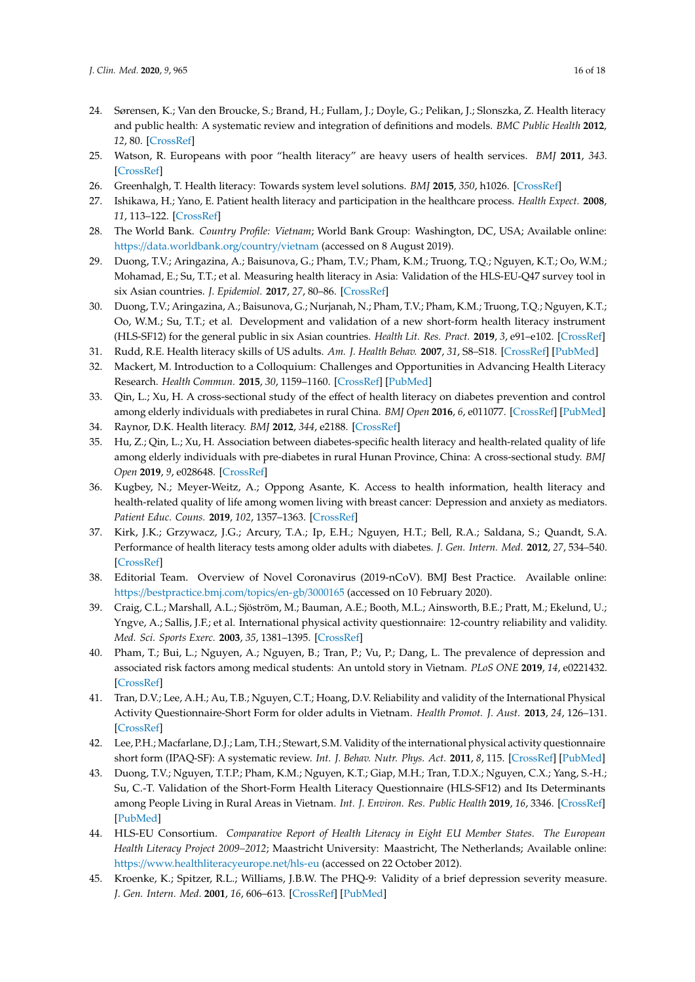- <span id="page-15-0"></span>24. Sørensen, K.; Van den Broucke, S.; Brand, H.; Fullam, J.; Doyle, G.; Pelikan, J.; Slonszka, Z. Health literacy and public health: A systematic review and integration of definitions and models. *BMC Public Health* **2012**, *12*, 80. [\[CrossRef\]](http://dx.doi.org/10.1186/1471-2458-12-80)
- <span id="page-15-1"></span>25. Watson, R. Europeans with poor "health literacy" are heavy users of health services. *BMJ* **2011**, *343*. [\[CrossRef\]](http://dx.doi.org/10.1136/bmj.d7741)
- <span id="page-15-2"></span>26. Greenhalgh, T. Health literacy: Towards system level solutions. *BMJ* **2015**, *350*, h1026. [\[CrossRef\]](http://dx.doi.org/10.1136/bmj.h1026)
- <span id="page-15-3"></span>27. Ishikawa, H.; Yano, E. Patient health literacy and participation in the healthcare process. *Health Expect.* **2008**, *11*, 113–122. [\[CrossRef\]](http://dx.doi.org/10.1111/j.1369-7625.2008.00497.x)
- <span id="page-15-4"></span>28. The World Bank. *Country Profile: Vietnam*; World Bank Group: Washington, DC, USA; Available online: https://[data.worldbank.org](https://data.worldbank.org/country/vietnam)/country/vietnam (accessed on 8 August 2019).
- <span id="page-15-5"></span>29. Duong, T.V.; Aringazina, A.; Baisunova, G.; Pham, T.V.; Pham, K.M.; Truong, T.Q.; Nguyen, K.T.; Oo, W.M.; Mohamad, E.; Su, T.T.; et al. Measuring health literacy in Asia: Validation of the HLS-EU-Q47 survey tool in six Asian countries. *J. Epidemiol.* **2017**, *27*, 80–86. [\[CrossRef\]](http://dx.doi.org/10.1016/j.je.2016.09.005)
- <span id="page-15-6"></span>30. Duong, T.V.; Aringazina, A.; Baisunova, G.; Nurjanah, N.; Pham, T.V.; Pham, K.M.; Truong, T.Q.; Nguyen, K.T.; Oo, W.M.; Su, T.T.; et al. Development and validation of a new short-form health literacy instrument (HLS-SF12) for the general public in six Asian countries. *Health Lit. Res. Pract.* **2019**, *3*, e91–e102. [\[CrossRef\]](http://dx.doi.org/10.3928/24748307-20190225-01)
- <span id="page-15-7"></span>31. Rudd, R.E. Health literacy skills of US adults. *Am. J. Health Behav.* **2007**, *31*, S8–S18. [\[CrossRef\]](http://dx.doi.org/10.5993/AJHB.31.s1.3) [\[PubMed\]](http://www.ncbi.nlm.nih.gov/pubmed/17931141)
- <span id="page-15-8"></span>32. Mackert, M. Introduction to a Colloquium: Challenges and Opportunities in Advancing Health Literacy Research. *Health Commun.* **2015**, *30*, 1159–1160. [\[CrossRef\]](http://dx.doi.org/10.1080/10410236.2015.1037427) [\[PubMed\]](http://www.ncbi.nlm.nih.gov/pubmed/26372025)
- <span id="page-15-9"></span>33. Qin, L.; Xu, H. A cross-sectional study of the effect of health literacy on diabetes prevention and control among elderly individuals with prediabetes in rural China. *BMJ Open* **2016**, *6*, e011077. [\[CrossRef\]](http://dx.doi.org/10.1136/bmjopen-2016-011077) [\[PubMed\]](http://www.ncbi.nlm.nih.gov/pubmed/27235299)
- <span id="page-15-10"></span>34. Raynor, D.K. Health literacy. *BMJ* **2012**, *344*, e2188. [\[CrossRef\]](http://dx.doi.org/10.1136/bmj.e2188)
- <span id="page-15-11"></span>35. Hu, Z.; Qin, L.; Xu, H. Association between diabetes-specific health literacy and health-related quality of life among elderly individuals with pre-diabetes in rural Hunan Province, China: A cross-sectional study. *BMJ Open* **2019**, *9*, e028648. [\[CrossRef\]](http://dx.doi.org/10.1136/bmjopen-2018-028648)
- <span id="page-15-12"></span>36. Kugbey, N.; Meyer-Weitz, A.; Oppong Asante, K. Access to health information, health literacy and health-related quality of life among women living with breast cancer: Depression and anxiety as mediators. *Patient Educ. Couns.* **2019**, *102*, 1357–1363. [\[CrossRef\]](http://dx.doi.org/10.1016/j.pec.2019.02.014)
- <span id="page-15-13"></span>37. Kirk, J.K.; Grzywacz, J.G.; Arcury, T.A.; Ip, E.H.; Nguyen, H.T.; Bell, R.A.; Saldana, S.; Quandt, S.A. Performance of health literacy tests among older adults with diabetes. *J. Gen. Intern. Med.* **2012**, *27*, 534–540. [\[CrossRef\]](http://dx.doi.org/10.1007/s11606-011-1927-y)
- <span id="page-15-14"></span>38. Editorial Team. Overview of Novel Coronavirus (2019-nCoV). BMJ Best Practice. Available online: https://[bestpractice.bmj.com](https://bestpractice.bmj.com/topics/en-gb/3000165)/topics/en-gb/3000165 (accessed on 10 February 2020).
- <span id="page-15-15"></span>39. Craig, C.L.; Marshall, A.L.; Sjöström, M.; Bauman, A.E.; Booth, M.L.; Ainsworth, B.E.; Pratt, M.; Ekelund, U.; Yngve, A.; Sallis, J.F.; et al. International physical activity questionnaire: 12-country reliability and validity. *Med. Sci. Sports Exerc.* **2003**, *35*, 1381–1395. [\[CrossRef\]](http://dx.doi.org/10.1249/01.MSS.0000078924.61453.FB)
- <span id="page-15-16"></span>40. Pham, T.; Bui, L.; Nguyen, A.; Nguyen, B.; Tran, P.; Vu, P.; Dang, L. The prevalence of depression and associated risk factors among medical students: An untold story in Vietnam. *PLoS ONE* **2019**, *14*, e0221432. [\[CrossRef\]](http://dx.doi.org/10.1371/journal.pone.0221432)
- <span id="page-15-17"></span>41. Tran, D.V.; Lee, A.H.; Au, T.B.; Nguyen, C.T.; Hoang, D.V. Reliability and validity of the International Physical Activity Questionnaire-Short Form for older adults in Vietnam. *Health Promot. J. Aust.* **2013**, *24*, 126–131. [\[CrossRef\]](http://dx.doi.org/10.1071/HE13012)
- <span id="page-15-18"></span>42. Lee, P.H.; Macfarlane, D.J.; Lam, T.H.; Stewart, S.M. Validity of the international physical activity questionnaire short form (IPAQ-SF): A systematic review. *Int. J. Behav. Nutr. Phys. Act.* **2011**, *8*, 115. [\[CrossRef\]](http://dx.doi.org/10.1186/1479-5868-8-115) [\[PubMed\]](http://www.ncbi.nlm.nih.gov/pubmed/22018588)
- <span id="page-15-19"></span>43. Duong, T.V.; Nguyen, T.T.P.; Pham, K.M.; Nguyen, K.T.; Giap, M.H.; Tran, T.D.X.; Nguyen, C.X.; Yang, S.-H.; Su, C.-T. Validation of the Short-Form Health Literacy Questionnaire (HLS-SF12) and Its Determinants among People Living in Rural Areas in Vietnam. *Int. J. Environ. Res. Public Health* **2019**, *16*, 3346. [\[CrossRef\]](http://dx.doi.org/10.3390/ijerph16183346) [\[PubMed\]](http://www.ncbi.nlm.nih.gov/pubmed/31514271)
- <span id="page-15-20"></span>44. HLS-EU Consortium. *Comparative Report of Health Literacy in Eight EU Member States. The European Health Literacy Project 2009–2012*; Maastricht University: Maastricht, The Netherlands; Available online: https://[www.healthliteracyeurope.net](https://www.healthliteracyeurope.net/hls-eu)/hls-eu (accessed on 22 October 2012).
- <span id="page-15-21"></span>45. Kroenke, K.; Spitzer, R.L.; Williams, J.B.W. The PHQ-9: Validity of a brief depression severity measure. *J. Gen. Intern. Med.* **2001**, *16*, 606–613. [\[CrossRef\]](http://dx.doi.org/10.1046/j.1525-1497.2001.016009606.x) [\[PubMed\]](http://www.ncbi.nlm.nih.gov/pubmed/11556941)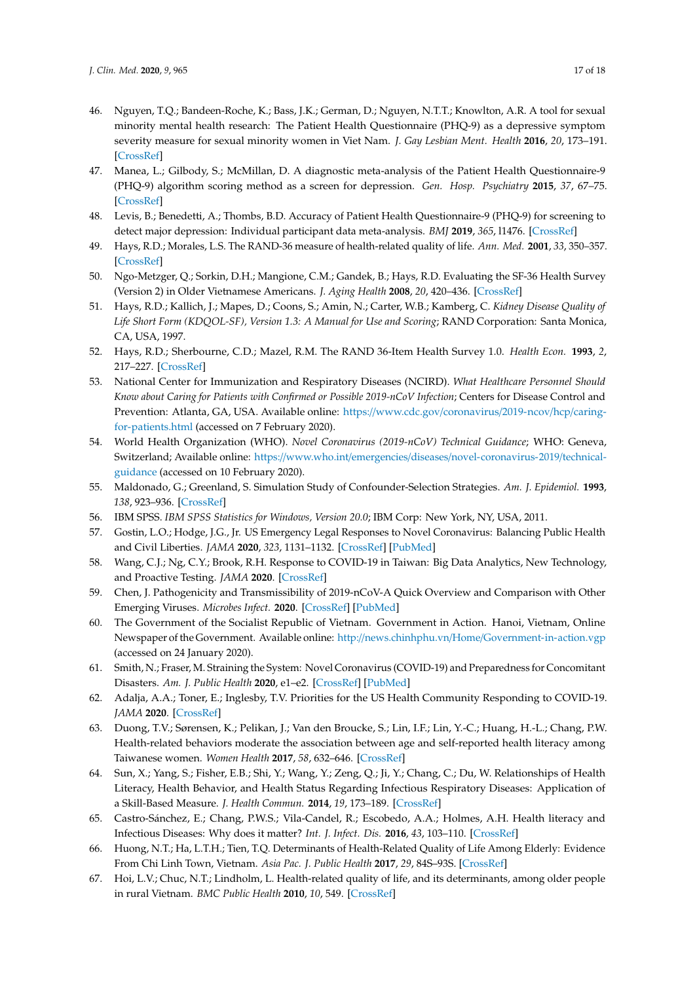- <span id="page-16-0"></span>46. Nguyen, T.Q.; Bandeen-Roche, K.; Bass, J.K.; German, D.; Nguyen, N.T.T.; Knowlton, A.R. A tool for sexual minority mental health research: The Patient Health Questionnaire (PHQ-9) as a depressive symptom severity measure for sexual minority women in Viet Nam. *J. Gay Lesbian Ment. Health* **2016**, *20*, 173–191. [\[CrossRef\]](http://dx.doi.org/10.1080/19359705.2015.1080204)
- <span id="page-16-1"></span>47. Manea, L.; Gilbody, S.; McMillan, D. A diagnostic meta-analysis of the Patient Health Questionnaire-9 (PHQ-9) algorithm scoring method as a screen for depression. *Gen. Hosp. Psychiatry* **2015**, *37*, 67–75. [\[CrossRef\]](http://dx.doi.org/10.1016/j.genhosppsych.2014.09.009)
- <span id="page-16-2"></span>48. Levis, B.; Benedetti, A.; Thombs, B.D. Accuracy of Patient Health Questionnaire-9 (PHQ-9) for screening to detect major depression: Individual participant data meta-analysis. *BMJ* **2019**, *365*, l1476. [\[CrossRef\]](http://dx.doi.org/10.1136/bmj.l1476)
- <span id="page-16-3"></span>49. Hays, R.D.; Morales, L.S. The RAND-36 measure of health-related quality of life. *Ann. Med.* **2001**, *33*, 350–357. [\[CrossRef\]](http://dx.doi.org/10.3109/07853890109002089)
- <span id="page-16-4"></span>50. Ngo-Metzger, Q.; Sorkin, D.H.; Mangione, C.M.; Gandek, B.; Hays, R.D. Evaluating the SF-36 Health Survey (Version 2) in Older Vietnamese Americans. *J. Aging Health* **2008**, *20*, 420–436. [\[CrossRef\]](http://dx.doi.org/10.1177/0898264308315855)
- <span id="page-16-5"></span>51. Hays, R.D.; Kallich, J.; Mapes, D.; Coons, S.; Amin, N.; Carter, W.B.; Kamberg, C. *Kidney Disease Quality of Life Short Form (KDQOL-SF), Version 1.3: A Manual for Use and Scoring*; RAND Corporation: Santa Monica, CA, USA, 1997.
- <span id="page-16-6"></span>52. Hays, R.D.; Sherbourne, C.D.; Mazel, R.M. The RAND 36-Item Health Survey 1.0. *Health Econ.* **1993**, *2*, 217–227. [\[CrossRef\]](http://dx.doi.org/10.1002/hec.4730020305)
- <span id="page-16-7"></span>53. National Center for Immunization and Respiratory Diseases (NCIRD). *What Healthcare Personnel Should Know about Caring for Patients with Confirmed or Possible 2019-nCoV Infection*; Centers for Disease Control and Prevention: Atlanta, GA, USA. Available online: https://[www.cdc.gov](https://www.cdc.gov/coronavirus/2019-ncov/hcp/caring-for-patients.html)/coronavirus/2019-ncov/hcp/caring[for-patients.html](https://www.cdc.gov/coronavirus/2019-ncov/hcp/caring-for-patients.html) (accessed on 7 February 2020).
- <span id="page-16-8"></span>54. World Health Organization (WHO). *Novel Coronavirus (2019-nCoV) Technical Guidance*; WHO: Geneva, Switzerland; Available online: https://www.who.int/emergencies/diseases/[novel-coronavirus-2019](https://www.who.int/emergencies/diseases/novel-coronavirus-2019/technical-guidance)/technical[guidance](https://www.who.int/emergencies/diseases/novel-coronavirus-2019/technical-guidance) (accessed on 10 February 2020).
- <span id="page-16-9"></span>55. Maldonado, G.; Greenland, S. Simulation Study of Confounder-Selection Strategies. *Am. J. Epidemiol.* **1993**, *138*, 923–936. [\[CrossRef\]](http://dx.doi.org/10.1093/oxfordjournals.aje.a116813)
- <span id="page-16-10"></span>56. IBM SPSS. *IBM SPSS Statistics for Windows, Version 20.0*; IBM Corp: New York, NY, USA, 2011.
- <span id="page-16-11"></span>57. Gostin, L.O.; Hodge, J.G., Jr. US Emergency Legal Responses to Novel Coronavirus: Balancing Public Health and Civil Liberties. *JAMA* **2020**, *323*, 1131–1132. [\[CrossRef\]](http://dx.doi.org/10.1001/jama.2020.2025) [\[PubMed\]](http://www.ncbi.nlm.nih.gov/pubmed/32207808)
- <span id="page-16-12"></span>58. Wang, C.J.; Ng, C.Y.; Brook, R.H. Response to COVID-19 in Taiwan: Big Data Analytics, New Technology, and Proactive Testing. *JAMA* **2020**. [\[CrossRef\]](http://dx.doi.org/10.1001/jama.2020.3151)
- <span id="page-16-13"></span>59. Chen, J. Pathogenicity and Transmissibility of 2019-nCoV-A Quick Overview and Comparison with Other Emerging Viruses. *Microbes Infect.* **2020**. [\[CrossRef\]](http://dx.doi.org/10.1016/j.micinf.2020.01.004) [\[PubMed\]](http://www.ncbi.nlm.nih.gov/pubmed/32032682)
- <span id="page-16-14"></span>60. The Government of the Socialist Republic of Vietnam. Government in Action. Hanoi, Vietnam, Online Newspaper of the Government. Available online: http://news.chinhphu.vn/Home/[Government-in-action.vgp](http://news.chinhphu.vn/Home/Government-in-action.vgp) (accessed on 24 January 2020).
- <span id="page-16-15"></span>61. Smith, N.; Fraser, M. Straining the System: Novel Coronavirus (COVID-19) and Preparedness for Concomitant Disasters. *Am. J. Public Health* **2020**, e1–e2. [\[CrossRef\]](http://dx.doi.org/10.2105/AJPH.2020.305618) [\[PubMed\]](http://www.ncbi.nlm.nih.gov/pubmed/32053389)
- <span id="page-16-16"></span>62. Adalja, A.A.; Toner, E.; Inglesby, T.V. Priorities for the US Health Community Responding to COVID-19. *JAMA* **2020**. [\[CrossRef\]](http://dx.doi.org/10.1001/jama.2020.3413)
- <span id="page-16-17"></span>63. Duong, T.V.; Sørensen, K.; Pelikan, J.; Van den Broucke, S.; Lin, I.F.; Lin, Y.-C.; Huang, H.-L.; Chang, P.W. Health-related behaviors moderate the association between age and self-reported health literacy among Taiwanese women. *Women Health* **2017**, *58*, 632–646. [\[CrossRef\]](http://dx.doi.org/10.1080/03630242.2017.1333074)
- <span id="page-16-18"></span>64. Sun, X.; Yang, S.; Fisher, E.B.; Shi, Y.; Wang, Y.; Zeng, Q.; Ji, Y.; Chang, C.; Du, W. Relationships of Health Literacy, Health Behavior, and Health Status Regarding Infectious Respiratory Diseases: Application of a Skill-Based Measure. *J. Health Commun.* **2014**, *19*, 173–189. [\[CrossRef\]](http://dx.doi.org/10.1080/10810730.2014.946112)
- <span id="page-16-19"></span>65. Castro-Sánchez, E.; Chang, P.W.S.; Vila-Candel, R.; Escobedo, A.A.; Holmes, A.H. Health literacy and Infectious Diseases: Why does it matter? *Int. J. Infect. Dis.* **2016**, *43*, 103–110. [\[CrossRef\]](http://dx.doi.org/10.1016/j.ijid.2015.12.019)
- <span id="page-16-20"></span>66. Huong, N.T.; Ha, L.T.H.; Tien, T.Q. Determinants of Health-Related Quality of Life Among Elderly: Evidence From Chi Linh Town, Vietnam. *Asia Pac. J. Public Health* **2017**, *29*, 84S–93S. [\[CrossRef\]](http://dx.doi.org/10.1177/1010539517704041)
- 67. Hoi, L.V.; Chuc, N.T.; Lindholm, L. Health-related quality of life, and its determinants, among older people in rural Vietnam. *BMC Public Health* **2010**, *10*, 549. [\[CrossRef\]](http://dx.doi.org/10.1186/1471-2458-10-549)